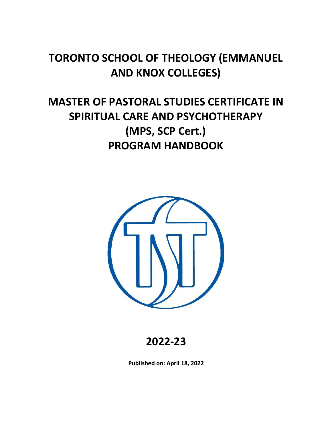# **TORONTO SCHOOL OF THEOLOGY (EMMANUEL AND KNOX COLLEGES)**

# **MASTER OF PASTORAL STUDIES CERTIFICATE IN SPIRITUAL CARE AND PSYCHOTHERAPY (MPS, SCP Cert.) PROGRAM HANDBOOK**



**2022-23**

**Published on: April 18, 2022**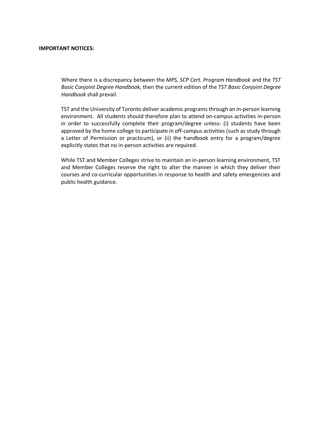#### **IMPORTANT NOTICES:**

Where there is a discrepancy between the *MPS, SCP Cert. Program Handbook* and the *TST Basic Conjoint Degree Handbook*, then the current edition of the *TST Basic Conjoint Degree Handbook* shall prevail.

TST and the University of Toronto deliver academic programs through an in-person learning environment. All students should therefore plan to attend on-campus activities in-person in order to successfully complete their program/degree unless: (i) students have been approved by the home college to participate in off-campus activities (such as study through a Letter of Permission or practicum), or (ii) the handbook entry for a program/degree explicitly states that no in-person activities are required.

While TST and Member Colleges strive to maintain an in-person learning environment, TST and Member Colleges reserve the right to alter the manner in which they deliver their courses and co-curricular opportunities in response to health and safety emergencies and public health guidance.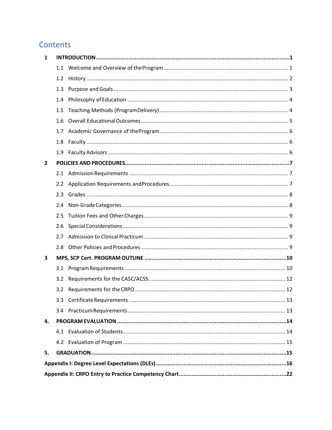## Contents

| 1  |                  |  |  |  |  |
|----|------------------|--|--|--|--|
|    |                  |  |  |  |  |
|    | 1.2              |  |  |  |  |
|    | 1.3              |  |  |  |  |
|    | 1.4              |  |  |  |  |
|    | 1.5              |  |  |  |  |
|    | 1.6              |  |  |  |  |
|    | 1.7              |  |  |  |  |
|    | 1.8              |  |  |  |  |
|    | 1.9              |  |  |  |  |
| 2  |                  |  |  |  |  |
|    | 2.1              |  |  |  |  |
|    | $2.2\phantom{0}$ |  |  |  |  |
|    | 2.3              |  |  |  |  |
|    | 2.4              |  |  |  |  |
|    | 2.5              |  |  |  |  |
|    | 2.6              |  |  |  |  |
|    | 2.7              |  |  |  |  |
|    | 2.8              |  |  |  |  |
| 3  |                  |  |  |  |  |
|    | 3.1              |  |  |  |  |
|    | 3.2              |  |  |  |  |
|    | 3.2              |  |  |  |  |
|    |                  |  |  |  |  |
|    | 3.4              |  |  |  |  |
| 4. |                  |  |  |  |  |
|    | 4.1              |  |  |  |  |
|    |                  |  |  |  |  |
| 5. |                  |  |  |  |  |
|    |                  |  |  |  |  |
|    |                  |  |  |  |  |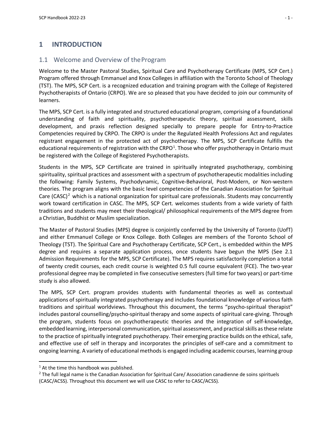### <span id="page-6-1"></span><span id="page-6-0"></span>**1 INTRODUCTION**

### 1.1 Welcome and Overview of theProgram

Welcome to the Master Pastoral Studies, Spiritual Care and Psychotherapy Certificate (MPS, SCP Cert.) Program offered through Emmanuel and Knox Colleges in affiliation with the Toronto School of Theology (TST). The MPS, SCP Cert. is a recognized education and training program with the College of Registered Psychotherapists of Ontario (CRPO). We are so pleased that you have decided to join our community of learners.

The MPS, SCP Cert. is a fully integrated and structured educational program, comprising of a foundational understanding of faith and spirituality, psychotherapeutic theory, spiritual assessment, skills development, and praxis reflection designed specially to prepare people for Entry-to-Practice Competencies required by CRPO. The CRPO is under the Regulated Health Professions Act and regulates registrant engagement in the protected act of psychotherapy. The MPS, SCP Certificate fulfills the educational requirements of registration with the CRPO<sup>[1](#page-6-2)</sup>. Those who offer psychotherapy in Ontario must be registered with the College of Registered Psychotherapists.

Students in the MPS, SCP Certificate are trained in spiritually integrated psychotherapy, combining spirituality, spiritual practices and assessment with a spectrum of psychotherapeutic modalities including the following: Family Systems, Psychodynamic, Cognitive-Behavioral, Post-Modern, or Non-western theories. The program aligns with the basic level competencies of the Canadian Association for Spiritual Care (CASC)<sup>[2](#page-6-3)</sup> which is a national organization for spiritual care professionals. Students may concurrently work toward certification in CASC. The MPS, SCP Cert. welcomes students from a wide variety of faith traditions and students may meet their theological/ philosophical requirements of the MPS degree from a Christian, Buddhist or Muslim specialization.

The Master of Pastoral Studies (MPS) degree is conjointly conferred by the University of Toronto (UofT) and either Emmanuel College or Knox College. Both Colleges are members of the Toronto School of Theology (TST). The Spiritual Care and Psychotherapy Certificate, SCP Cert., is embedded within the MPS degree and requires a separate application process, once students have begun the MPS (See 2.1 Admission Requirements for the MPS, SCP Certificate). The MPS requires satisfactorily completion a total of twenty credit courses, each credit course is weighted 0.5 full course equivalent (FCE). The two-year professional degree may be completed in five consecutive semesters (full time for two years) or part-time study is also allowed.

The MPS, SCP Cert. program provides students with fundamental theories as well as contextual applications of spiritually integrated psychotherapy and includes foundational knowledge of various faith traditions and spiritual worldviews. Throughout this document, the terms "psycho-spiritual therapist" includes pastoral counselling/psycho-spiritual therapy and some aspects of spiritual care-giving. Through the program, students focus on psychotherapeutic theories and the integration of self-knowledge, embedded learning, interpersonal communication, spiritual assessment, and practical skills as these relate to the practice of spiritually integrated psychotherapy. Their emerging practice builds on the ethical, safe, and effective use of self in therapy and incorporates the principles of self-care and a commitment to ongoing learning. A variety of educational methodsis engaged including academic courses, learning group

<span id="page-6-2"></span> $1$  At the time this handbook was published.

<span id="page-6-3"></span> $2$  The full legal name is the Canadian Association for Spiritual Care/ Association canadienne de soins spirituels (CASC/ACSS). Throughout this document we will use CASC to refer to CASC/ACSS).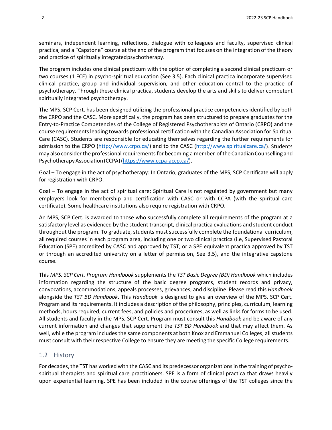seminars, independent learning, reflections, dialogue with colleagues and faculty, supervised clinical practica, and a "Capstone" course at the end of the program that focuses on the integration of the theory and practice of spiritually integratedpsychotherapy.

The program includes one clinical practicum with the option of completing a second clinical practicum or two courses (1 FCE) in psycho-spiritual education (See 3.5). Each clinical practica incorporate supervised clinical practice, group and individual supervision, and other education central to the practice of psychotherapy. Through these clinical practica, students develop the arts and skills to deliver competent spiritually integrated psychotherapy.

The MPS, SCP Cert. has been designed utilizing the professional practice competencies identified by both the CRPO and the CASC. More specifically, the program has been structured to prepare graduates for the Entry-to-Practice Competencies of the College of Registered Psychotherapists of Ontario (CRPO) and the course requirementsleading towards professional certification with the Canadian Association for Spiritual Care (CASC). Students are responsible for educating themselves regarding the further requirements for admission to the CRPO [\(http://www.crpo.ca/\)](http://www.crpo.ca/) and to the CASC [\(http://www.spiritualcare.ca/\)](http://www.spiritualcare.ca/). Students may also consider the professional requirements for becoming a member of the Canadian Counselling and Psychotherapy Association (CCPA) [\(https://www.ccpa-accp.ca/\)](http://www.ccpa-accp.ca/).

Goal – To engage in the act of psychotherapy: In Ontario, graduates of the MPS, SCP Certificate will apply for registration with CRPO.

Goal – To engage in the act of spiritual care: Spiritual Care is not regulated by government but many employers look for membership and certification with CASC or with CCPA (with the spiritual care certificate). Some healthcare institutions also require registration with CRPO.

An MPS, SCP Cert. is awarded to those who successfully complete all requirements of the program at a satisfactory level as evidenced by the student transcript, clinical practica evaluations and student conduct throughout the program. To graduate, students must successfully complete the foundational curriculum, all required courses in each program area, including one or two clinical practica (i.e, Supervised Pastoral Education (SPE) accredited by CASC and approved by TST; or a SPE equivalent practica approved by TST or through an accredited university on a letter of permission, See 3.5), and the integrative capstone course.

This *MPS, SCP Cert. Program Handbook* supplements the *TST Basic Degree (BD) Handbook* which includes information regarding the structure of the basic degree programs, student records and privacy, convocations, accommodations, appeals processes, grievances, and discipline. Please read this *Handbook*  alongside the *TST BD Handbook*. This *Handbook* is designed to give an overview of the MPS, SCP Cert. Program and its requirements. It includes a description of the philosophy, principles, curriculum, learning methods, hours required, current fees, and policies and procedures, as well as links for forms to be used. All students and faculty in the MPS, SCP Cert. Program must consult this *Handbook* and be aware of any current information and changes that supplement the *TST BD Handbook* and that may affect them. As well, while the program includes the same components at both Knox and Emmanuel Colleges, all students must consult with their respective College to ensure they are meeting the specific College requirements.

### <span id="page-7-0"></span>1.2 History

For decades, the TST has worked with the CASC and its predecessor organizationsin the training of psychospiritual therapists and spiritual care practitioners. SPE is a form of clinical practica that draws heavily upon experiential learning. SPE has been included in the course offerings of the TST colleges since the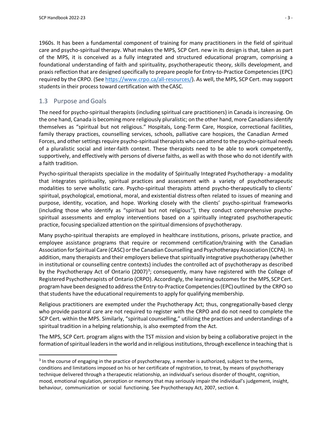1960s. It has been a fundamental component of training for many practitioners in the field of spiritual care and psycho-spiritual therapy. What makes the MPS, SCP Cert. new in its design is that, taken as part of the MPS, it is conceived as a fully integrated and structured educational program, comprising a foundational understanding of faith and spirituality, psychotherapeutic theory, skills development, and praxisreflection that are designed specifically to prepare people for Entry-to-Practice Competencies(EPC) required by the CRPO. (See https:/[/www.crpo.ca/all-resources/\).](http://www.crpo.ca/all-resources/)) As well, the MPS, SCP Cert. may support students in their process toward certification with theCASC.

### <span id="page-8-0"></span>1.3 Purpose and Goals

The need for psycho-spiritual therapists (including spiritual care practitioners) in Canada is increasing. On the one hand, Canada is becoming more religiously pluralistic; on the other hand, more Canadians identify themselves as "spiritual but not religious." Hospitals, Long-Term Care, Hospice, correctional facilities, family therapy practices, counselling services, schools, palliative care hospices, the Canadian Armed Forces, and other settings require psycho-spiritual therapists who can attend to the psycho-spiritual needs of a pluralistic social and inter-faith context. These therapists need to be able to work competently, supportively, and effectively with persons of diverse faiths, as well as with those who do not identify with a faith tradition.

Psycho-spiritual therapists specialize in the modality of Spiritually Integrated Psychotherapy - a modality that integrates spirituality, spiritual practices and assessment with a variety of psychotherapeutic modalities to serve wholistic care. Psycho-spiritual therapists attend psycho-therapeutically to clients' spiritual, psychological, emotional, moral, and existential distress often related to issues of meaning and purpose, identity, vocation, and hope. Working closely with the clients' psycho-spiritual frameworks (including those who identify as "spiritual but not religious"), they conduct comprehensive psychospiritual assessments and employ interventions based on a spiritually integrated psychotherapeutic practice, focusing specialized attention on the spiritual dimensions of psychotherapy.

Many psycho-spiritual therapists are employed in healthcare institutions, prisons, private practice, and employee assistance programs that require or recommend certification/training with the Canadian Association for Spiritual Care (CASC) or the Canadian Counselling and Psychotherapy Association (CCPA). In addition, many therapists and their employers believe that spiritually integrative psychotherapy (whether in institutional or counselling centre contexts) includes the controlled act of psychotherapy as described by the Psychotherapy Act of Ontario (2007)<sup>[3](#page-8-1)</sup>; consequently, many have registered with the College of Registered Psychotherapists of Ontario (CRPO). Accordingly, the learning outcomes for the MPS, SCPCert. program have been designed to address the Entry-to-Practice Competencies (EPC) outlined by the CRPO so that students have the educational requirements to apply for qualifying membership.

Religious practitioners are exempted under the Psychotherapy Act; thus, congregationally-based clergy who provide pastoral care are not required to register with the CRPO and do not need to complete the SCP Cert. within the MPS. Similarly, "spiritual counselling," utilizing the practices and understandings of a spiritual tradition in a helping relationship, is also exempted from the Act.

The MPS, SCP Cert. program aligns with the TST mission and vision by being a collaborative project in the formation of spiritual leaders in the world and in religious institutions, through excellence in teaching that is

<span id="page-8-1"></span> $3$  In the course of engaging in the practice of psychotherapy, a member is authorized, subject to the terms, conditions and limitations imposed on his or her certificate of registration, to treat, by means of psychotherapy technique delivered through a therapeutic relationship, an individual's serious disorder of thought, cognition, mood, emotional regulation, perception or memory that may seriously impair the individual's judgement, insight, behaviour, communication or social functioning. See Psychotherapy Act, 2007, section 4.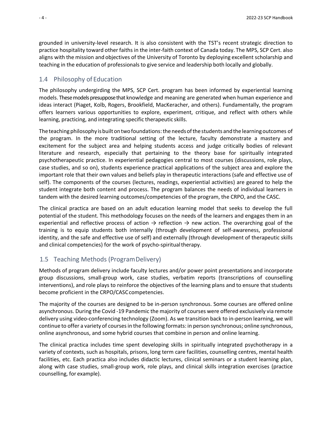grounded in university-level research. It is also consistent with the TST's recent strategic direction to practice hospitality toward other faiths in the inter-faith context of Canada today. The MPS, SCP Cert. also aligns with the mission and objectives of the University of Toronto by deploying excellent scholarship and teaching in the education of professionals to give service and leadership both locally and globally.

#### <span id="page-9-0"></span>1.4 Philosophy of Education

The philosophy undergirding the MPS, SCP Cert. program has been informed by experiential learning models. These models presuppose that knowledge and meaning are generated when human experience and ideas interact (Piaget, Kolb, Rogers, Brookfield, MacKeracher, and others). Fundamentally, the program offers learners various opportunities to explore, experiment, critique, and reflect with others while learning, practicing, and integrating specific therapeutic skills.

The teaching philosophy is built on two foundations: the needs of the students and the learning outcomes of the program. In the more traditional setting of the lecture, faculty demonstrate a mastery and excitement for the subject area and helping students access and judge critically bodies of relevant literature and research, especially that pertaining to the theory base for spiritually integrated psychotherapeutic practice. In experiential pedagogies central to most courses (discussions, role plays, case studies, and so on), students experience practical applications of the subject area and explore the important role that their own values and beliefs play in therapeutic interactions (safe and effective use of self). The components of the courses (lectures, readings, experiential activities) are geared to help the student integrate both content and process. The program balances the needs of individual learners in tandem with the desired learning outcomes/competencies of the program, the CRPO, and the CASC.

The clinical practica are based on an adult education learning model that seeks to develop the full potential of the student. This methodology focuses on the needs of the learners and engages them in an experiential and reflective process of action  $\rightarrow$  reflection  $\rightarrow$  new action. The overarching goal of the training is to equip students both internally (through development of self-awareness, professional identity, and the safe and effective use of self) and externally (through development of therapeutic skills and clinical competencies) for the work of psycho-spiritualtherapy.

### <span id="page-9-1"></span>1.5 Teaching Methods (ProgramDelivery)

Methods of program delivery include faculty lectures and/or power point presentations and incorporate group discussions, small-group work, case studies, verbatim reports (transcriptions of counselling interventions), and role plays to reinforce the objectives of the learning plans and to ensure that students become proficient in the CRPO/CASCcompetencies.

The majority of the courses are designed to be in-person synchronous. Some courses are offered online asynchronous. During the Covid -19 Pandemic the majority of courses were offered exclusively via remote delivery using video-conferencing technology (Zoom). As we transition back to in-person learning, we will continue to offer a variety of coursesin the following formats: in person synchronous; online synchronous, online asynchronous, and some hybrid courses that combine in person and online learning.

The clinical practica includes time spent developing skills in spiritually integrated psychotherapy in a variety of contexts, such as hospitals, prisons, long term care facilities, counselling centres, mental health facilities, etc. Each practica also includes didactic lectures, clinical seminars or a student learning plan, along with case studies, small-group work, role plays, and clinical skills integration exercises (practice counselling, for example).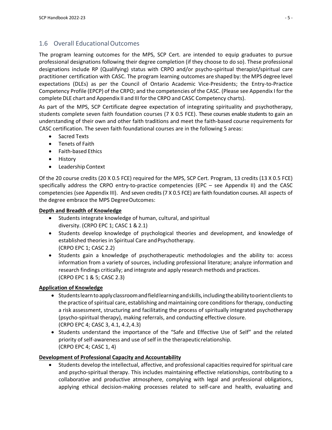### <span id="page-10-0"></span>1.6 Overall EducationalOutcomes

The program learning outcomes for the MPS, SCP Cert. are intended to equip graduates to pursue professional designations following their degree completion (if they choose to do so). These professional designations include RP (Qualifying) status with CRPO and/or psycho-spiritual therapist/spiritual care practitioner certification with CASC. The program learning outcomes are shaped by: the MPS degree level expectations (DLEs) as per the Council of Ontario Academic Vice-Presidents; the Entry-to-Practice Competency Profile (EPCP) of the CRPO; and the competencies of the CASC. (Please see Appendix I for the complete DLE chart and Appendix II and III forthe CRPO and CASC Competency charts).

As part of the MPS, SCP Certificate degree expectation of integrating spirituality and psychotherapy, students complete seven faith foundation courses (7 X 0.5 FCE). These courses enable students to gain an understanding of their own and other faith traditions and meet the faith-based course requirements for CASC certification. The seven faith foundational courses are in the following 5 areas:

- Sacred Texts
- Tenets of Faith
- Faith-based Ethics
- History
- Leadership Context

Of the 20 course credits (20 X 0.5 FCE) required for the MPS, SCP Cert. Program, 13 credits (13 X 0.5 FCE) specifically address the CRPO entry-to-practice competencies (EPC – see Appendix II) and the CASC competencies (see Appendix III). And seven credits(7 X 0.5 FCE) are faith foundation courses. All aspects of the degree embrace the MPS DegreeOutcomes:

### **Depth and Breadth of Knowledge**

- Students integrate knowledge of human, cultural, andspiritual diversity. (CRPO EPC 1; CASC 1 & 2.1)
- Students develop knowledge of psychological theories and development, and knowledge of established theories in Spiritual Care andPsychotherapy. (CRPO EPC 1; CASC 2.2)
- Students gain a knowledge of psychotherapeutic methodologies and the ability to: access information from a variety of sources, including professional literature; analyze information and research findings critically; and integrate and apply research methods and practices. (CRPO EPC 1 & 5; CASC 2.3)

### **Application of Knowledge**

- Studentslearntoapplyclassroomandfieldlearningandskills,includingtheabilitytoorientclients to the practice of spiritual care, establishing and maintaining core conditions for therapy, conducting a risk assessment, structuring and facilitating the process of spiritually integrated psychotherapy (psycho-spiritual therapy), making referrals, and conducting effective closure. (CRPO EPC 4; CASC 3, 4.1, 4.2,4.3)
- Students understand the importance of the "Safe and Effective Use of Self" and the related priority of self-awareness and use of self in the therapeuticrelationship. (CRPO EPC 4; CASC 1, 4)

### **Development of Professional Capacity and Accountability**

• Students develop the intellectual, affective, and professional capacities required for spiritual care and psycho-spiritual therapy. This includes maintaining effective relationships, contributing to a collaborative and productive atmosphere, complying with legal and professional obligations, applying ethical decision-making processes related to self-care and health, evaluating and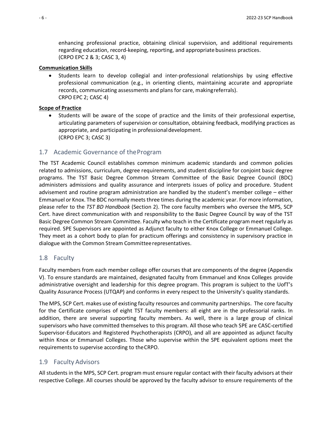enhancing professional practice, obtaining clinical supervision, and additional requirements regarding education, record-keeping, reporting, and appropriate business practices. (CRPO EPC 2 & 3; CASC 3, 4)

#### **Communication Skills**

• Students learn to develop collegial and inter-professional relationships by using effective professional communication (e.g., in orienting clients, maintaining accurate and appropriate records, communicating assessments and plans for care, makingreferrals). CRPO EPC 2; CASC 4)

#### **Scope of Practice**

• Students will be aware of the scope of practice and the limits of their professional expertise, articulating parameters of supervision or consultation, obtaining feedback, modifying practices as appropriate, and participating in professionaldevelopment. (CRPO EPC 3; CASC 3)

#### <span id="page-11-0"></span>1.7 Academic Governance of theProgram

The TST Academic Council establishes common minimum academic standards and common policies related to admissions, curriculum, degree requirements, and student discipline for conjoint basic degree programs. The TST Basic Degree Common Stream Committee of the Basic Degree Council (BDC) administers admissions and quality assurance and interprets issues of policy and procedure. Student advisement and routine program administration are handled by the student's member college – either Emmanuel or Knox. The BDC normally meets three times during the academic year. For more information, please refer to the *TST BD Handbook* (Section 2). The core faculty members who oversee the MPS, SCP Cert. have direct communication with and responsibility to the Basic Degree Council by way of the TST Basic Degree Common Stream Committee. Faculty who teach in the Certificate program meet regularly as required. SPE Supervisors are appointed as Adjunct faculty to either Knox College or Emmanuel College. They meet as a cohort body to plan for practicum offerings and consistency in supervisory practice in dialogue with the Common Stream Committeerepresentatives.

#### <span id="page-11-1"></span>1.8 Faculty

Faculty members from each member college offer courses that are components of the degree (Appendix V). To ensure standards are maintained, designated faculty from Emmanuel and Knox Colleges provide administrative oversight and leadership for this degree program. This program is subject to the UofT's Quality Assurance Process (UTQAP) and conforms in every respect to the University's quality standards.

The MPS, SCP Cert. makes use of existing faculty resources and community partnerships. The core faculty for the Certificate comprises of eight TST faculty members: all eight are in the professorial ranks. In addition, there are several supporting faculty members. As well, there is a large group of clinical supervisors who have committed themselves to this program. All those who teach SPE are CASC-certified Supervisor-Educators and Registered Psychotherapists (CRPO), and all are appointed as adjunct faculty within Knox or Emmanuel Colleges. Those who supervise within the SPE equivalent options meet the requirements to supervise according to theCRPO.

#### <span id="page-11-2"></span>1.9 Faculty Advisors

All students in the MPS, SCP Cert. program must ensure regular contact with their faculty advisors at their respective College. All courses should be approved by the faculty advisor to ensure requirements of the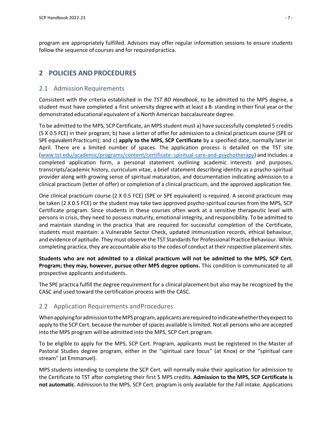program are appropriately fulfilled. Advisors may offer regular information sessions to ensure students follow the sequence of courses and for required practica.

### <span id="page-12-0"></span>**2 POLICIES AND PROCEDURES**

### <span id="page-12-1"></span>2.1 Admission Requirements

Consistent with the criteria established in the *TST BD Handbook*, to be admitted to the MPS degree, a student must have completed a first university degree with at least a B-standing in their final year or the demonstrated educational equivalent of a North American baccalaureate degree.

To be admitted to the MPS, SCP Certificate, an MPS student must a) have successfully completed 5 credits (5 X 0.5 FCE) in their program; b) have a letter of offer for admission to a clinical practicum course (SPE or SPE equivalent Practicum); and c) apply to the MPS, SCP Certificate by a specified date, normally later in April. There are a limited number of spaces. The application process is detailed on the TST site [\(www.tst.edu/academic/programs/content/certificate-spiritual-care-and-psychotherapy\)](http://www.tst.edu/academic/programs/content/certificate-spiritual-care-and-psychotherapy) and includes:a completed application form, a personal statement outlining academic interests and purposes, transcripts/academic history, curriculum vitae, a brief statement describing identity as a psycho-spiritual provider along with growing sense of spiritual maturation, and documentation indicating admission to a clinical practicum (letter of offer) or completion of a clinical practicum, and the approved application fee.

One clinical practicum course (2 X 0.5 FCE) (SPE or SPE equivalent) is required. A second practicum may be taken (2 X 0.5 FCE) or the student may take two approved psycho-spiritual courses from the MPS, SCP Certificate program. Since students in these courses often work at a sensitive therapeutic level with persons in crisis, they need to possess maturity, emotional integrity, and responsibility. To be admitted to and maintain standing in the practica that are required for successful completion of the Certificate, students must maintain: a Vulnerable Sector Check, updated immunization records, ethical behaviour, and evidence of aptitude. They must observe the TST Standards for Professional Practice Behaviour. While completing practica, they are accountable also to the codes of conduct at their respective placement sites.

**Students who are not admitted to a clinical practicum will not be admitted to the MPS, SCP Cert. Program; they may, however, pursue other MPS degree options.** This condition is communicated to all prospective applicants andstudents.

The SPE practica fulfill the degree requirement for a clinical placement but also may be recognized by the CASC and used toward the certification process with the CASC.

### <span id="page-12-2"></span>2.2 Application Requirements andProcedures

WhenapplyingforadmissiontotheMPSprogram,applicantsarerequiredtoindicatewhethertheyexpect to apply to the SCP Cert. because the number of spaces available is limited. Not all persons who are accepted into the MPS program will be admitted into the MPS, SCP Cert.program.

To be eligible to apply for the MPS, SCP Cert. Program, applicants must be registered in the Master of Pastoral Studies degree program, either in the "spiritual care focus" (at Knox) or the "spiritual care stream" (at Emmanuel).

MPS students intending to complete the SCP Cert. will normally make their application for admission to the Certificate to TST after completing their first 5 MPS credits. **Admission to the MPS, SCP Certificate is not automatic**. Admission to the MPS, SCP Cert. program is only available for the Fall intake. Applications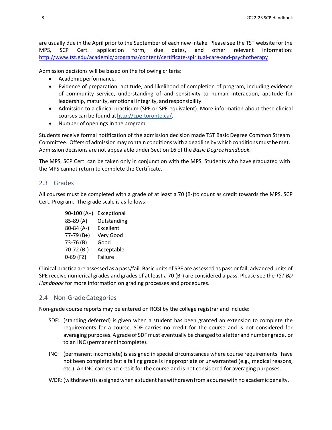are usually due in the April prior to the September of each new intake. Please see the TST website for the MPS, SCP Cert. application form, due dates, and other relevant information: <http://www.tst.edu/academic/programs/content/certificate-spiritual-care-and-psychotherapy>

Admission decisions will be based on the following criteria:

- Academic performance.
- Evidence of preparation, aptitude, and likelihood of completion of program, including evidence of community service, understanding of and sensitivity to human interaction, aptitude for leadership, maturity, emotional integrity, andresponsibility.
- Admission to a clinical practicum (SPE or SPE equivalent). More information about these clinical courses can be found at [http://cpe-toronto.ca/.](http://cpe-toronto.ca/)
- Number of openings in the program.

Students receive formal notification of the admission decision made TST Basic Degree Common Stream Committee. Offers of admission may contain conditions with a deadline by which conditions must be met. Admission decisions are not appealable under Section 16 of the *Basic DegreeHandbook.*

The MPS, SCP Cert. can be taken only in conjunction with the MPS. Students who have graduated with the MPS cannot return to complete the Certificate.

#### <span id="page-13-0"></span>2.3 Grades

All courses must be completed with a grade of at least a 70 (B-)to count as credit towards the MPS, SCP Cert. Program. The grade scale is as follows:

| $90-100(A+)$ | Exceptional |
|--------------|-------------|
| 85-89 (A)    | Outstanding |
| 80-84 (A-)   | Excellent   |
| $77-79(B+)$  | Very Good   |
| 73-76 (B)    | Good        |
| 70-72 (B-)   | Acceptable  |
| $0-69$ (FZ)  | Failure     |
|              |             |

Clinical practica are assessed as a pass/fail. Basic units of SPE are assessed as pass or fail; advanced units of SPE receive numerical grades and grades of at least a 70 (B-) are considered a pass. Please see the *TST BD Handbook* for more information on grading processes and procedures.

#### <span id="page-13-1"></span>2.4 Non-Grade Categories

Non-grade course reports may be entered on ROSI by the college registrar and include:

- SDF: (standing deferred) is given when a student has been granted an extension to complete the requirements for a course. SDF carries no credit for the course and is not considered for averaging purposes. A grade of SDFmust eventually be changed to a letter and number grade, or to an INC (permanent incomplete).
- INC: (permanent incomplete) is assigned in special circumstances where course requirements have not been completed but a failing grade is inappropriate or unwarranted (e.g., medical reasons, etc.). An INC carries no credit for the course and is not considered for averaging purposes.

WDR:(withdrawn)is assignedwhen a student haswithdrawnfroma coursewith no academicpenalty.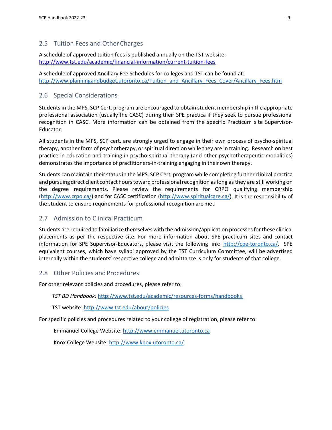### <span id="page-14-0"></span>2.5 Tuition Fees and Other Charges

A schedule of approved tuition fees is published annually on the TST website: <http://www.tst.edu/academic/financial-information/current-tuition-fees>

A schedule of approved Ancillary Fee Schedules for colleges and TST can be found at: [http://www.planningandbudget.utoronto.ca/Tuition\\_and\\_Ancillary\\_Fees\\_Cover/Ancillary\\_Fees.htm](http://www.planningandbudget.utoronto.ca/Tuition_and_Ancillary_Fees_Cover/Ancillary_Fees.htm)

### <span id="page-14-1"></span>2.6 Special Considerations

Students in the MPS, SCP Cert. program are encouraged to obtain student membership in the appropriate professional association (usually the CASC) during their SPE practica if they seek to pursue professional recognition in CASC. More information can be obtained from the specific Practicum site Supervisor-Educator.

All students in the MPS, SCP cert. are strongly urged to engage in their own process of psycho-spiritual therapy, another form of psychotherapy, orspiritual direction while they are in training. Research on best practice in education and training in psycho-spiritual therapy (and other psychotherapeutic modalities) demonstrates the importance of practitioners-in-training engaging in theirown therapy.

Students can maintain their status in the MPS, SCP Cert. program while completing further clinical practica and pursuing direct client contact hours toward professional recognition as long as they are still working on the degree requirements. Please review the requirements for CRPO qualifying membership [\(http://www.crpo.ca/\)](http://www.crpo.ca/) and for CASC certification [\(http://www.spiritualcare.ca/\)](http://www.spiritualcare.ca/). It is the responsibility of the student to ensure requirements for professional recognition aremet.

### <span id="page-14-2"></span>2.7 Admission to Clinical Practicum

Students are required to familiarize themselves with the admission/application processesforthese clinical placements as per the respective site. For more information about SPE practicum sites and contact information for SPE Supervisor-Educators, please visit the following link: [http://cpe-toronto.ca/.](http://cpe-toronto.ca/) SPE equivalent courses, which have syllabi approved by the TST Curriculum Committee, will be advertised internally within the students' respective college and admittance is only for students of that college.

### <span id="page-14-3"></span>2.8 Other Policies and Procedures

For other relevant policies and procedures, please refer to:

*TST BD Handbook:* <http://www.tst.edu/academic/resources-forms/handbooks>

TST website:<http://www.tst.edu/about/policies>

For specific policies and procedures related to your college of registration, please refer to:

Emmanuel College Website: [http://www.emmanuel.utoronto.ca](http://www.emmanuel.utoronto.ca/)

Knox College Website:<http://www.knox.utoronto.ca/>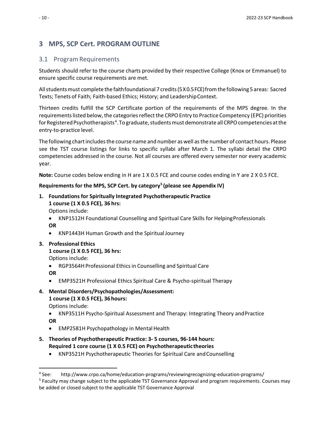### <span id="page-15-0"></span>**3 MPS, SCP Cert. PROGRAM OUTLINE**

#### <span id="page-15-1"></span>3.1 Program Requirements

Students should refer to the course charts provided by their respective College (Knox or Emmanuel) to ensure specific course requirements are met.

Allstudentsmust complete the faithfoundational 7 credits(5X0.5FCE)fromthe following 5 areas: Sacred Texts; Tenets of Faith; Faith-based Ethics; History; and LeadershipContext.

Thirteen credits fulfill the SCP Certificate portion of the requirements of the MPS degree. In the requirements listed below, the categories reflect the CRPO Entry to Practice Competency (EPC) priorities for Registered Psychotherapists<sup>[4](#page-15-2)</sup>. To graduate, students must demonstrate all CRPO competencies at the entry-to-practice level.

The following chart includes the course name and number as well as the number of contact hours. Please see the TST course listings for links to specific syllabi after March 1. The syllabi detail the CRPO competencies addressed in the course. Not all courses are offered every semester nor every academic year.

**Note:** Course codes below ending in H are 1 X 0.5 FCE and course codes ending in Y are 2 X 0.5 FCE.

### **Requirements for the MPS, SCP Cert. by category[5](#page-15-3) (please see Appendix IV)**

**1. Foundations for Spiritually Integrated Psychotherapeutic Practice 1 course (1 X 0.5 FCE), 36 hrs:**

Options include:

• KNP1512H Foundational Counselling and Spiritual Care Skills for Helping Professionals **OR**

• KNP1443H Human Growth and the SpiritualJourney

#### **3. Professional Ethics**

**1 course (1 X 0.5 FCE), 36 hrs:**

Options include:

- RGP3564H Professional Ethics in Counselling and Spiritual Care
- **OR**
- EMP3521H Professional Ethics Spiritual Care & Psycho-spiritual Therapy
- **4. Mental Disorders/Psychopathologies/Assessment: 1 course (1 X 0.5 FCE), 36hours:** Options include:
	- KNP3511H Psycho-Spiritual Assessment and Therapy: Integrating Theory andPractice **OR**
	- EMP2581H Psychopathology in Mental Health
- **5. Theories of Psychotherapeutic Practice: 3- 5 courses, 96-144 hours: Required 1 core course (1 X 0.5 FCE) on Psychotherapeutic theories**
	- KNP3521H Psychotherapeutic Theories for Spiritual Care andCounselling

<span id="page-15-2"></span><sup>4</sup> See: http://www.crpo.ca/home/education-programs/reviewingrecognizing-education-programs/

<span id="page-15-3"></span><sup>&</sup>lt;sup>5</sup> Faculty may change subject to the applicable TST Governance Approval and program requirements. Courses may be added or closed subject to the applicable TST Governance Approval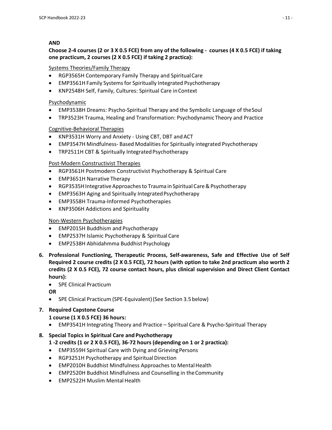### **AND**

### **Choose 2-4 courses (2 or 3 X 0.5 FCE) from any of the following - courses (4 X 0.5 FCE) if taking one practicum, 2 courses (2 X 0.5 FCE) if taking 2 practica):**

#### Systems Theories/Family Therapy

- RGP3565H Contemporary Family Therapy and SpiritualCare
- EMP3561H Family Systemsfor Spiritually Integrated Psychotherapy
- KNP2548H Self, Family, Cultures: Spiritual Care inContext

### Psychodynamic

- EMP3538H Dreams: Psycho-Spiritual Therapy and the Symbolic Language of theSoul
- TRP3523H Trauma, Healing and Transformation: Psychodynamic Theory and Practice

### Cognitive-Behavioral Therapies

- KNP3531H Worry and Anxiety Using CBT, DBT andACT
- EMP3547H Mindfulness- Based Modalities for Spiritually integrated Psychotherapy
- TRP2511H CBT & Spiritually Integrated Psychotherapy

### Post-Modern Constructivist Therapies

- RGP3561H Postmodern Constructivist Psychotherapy & Spiritual Care
- EMP3651H Narrative Therapy
- RGP3535H Integrative Approaches to Trauma in Spiritual Care & Psychotherapy
- EMP3563H Aging and Spiritually Integrated Psychotherapy
- EMP3558H Trauma-Informed Psychotherapies
- KNP3506H Addictions and Spirituality

### Non-Western Psychotherapies

- EMP2015H Buddhism and Psychotherapy
- EMP2537H Islamic Psychotherapy & Spiritual Care
- EMP2538H Abhidahmma Buddhist Psychology
- **6. Professional Functioning, Therapeutic Process, Self-awareness, Safe and Effective Use of Self Required 2 course credits (2 X 0.5 FCE), 72 hours (with option to take 2nd practicum also worth 2 credits (2 X 0.5 FCE), 72 course contact hours, plus clinical supervision and Direct Client Contact hours):**
	- SPE Clinical Practicum

#### **OR**

• SPE Clinical Practicum (SPE-Equivalent)(See Section 3.5below)

# **7. Required Capstone Course**

#### **1 course (1 X 0.5 FCE) 36 hours:**

• EMP3541H Integrating Theory and Practice – Spiritual Care & Psycho-Spiritual Therapy

### **8. Special Topics in Spiritual Care and Psychotherapy**

### **1 -2 credits (1 or 2 X 0.5 FCE), 36-72 hours (depending on 1 or 2 practica):**

- EMP3559H Spiritual Care with Dying and Grieving Persons
- RGP3251H Psychotherapy and Spiritual Direction
- EMP2010H Buddhist Mindfulness Approaches to Mental Health
- EMP2520H Buddhist Mindfulness and Counselling in theCommunity
- EMP2522H Muslim Mental Health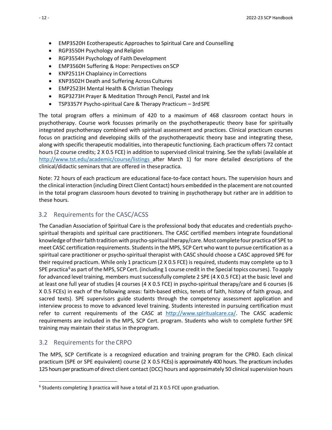- EMP3520H Ecotherapeutic Approaches to Spiritual Care and Counselling
- RGP3550H Psychology and Religion
- RGP3554H Psychology of Faith Development
- EMP3560H Suffering & Hope: Perspectives on SCP
- KNP2511H Chaplaincy in Corrections
- KNP3502H Death and Suffering Across Cultures
- EMP2523H Mental Health & Christian Theology
- RGP3273H Prayer & Meditation Through Pencil, Pastel and Ink
- TSP3357Y Psycho-spiritual Care & Therapy Practicum 3rdSPE

The total program offers a minimum of 420 to a maximum of 468 classroom contact hours in psychotherapy. Course work focusses primarily on the psychotherapeutic theory base for spiritually integrated psychotherapy combined with spiritual assessment and practices. Clinical practicum courses focus on practicing and developing skills of the psychotherapeutic theory base and integrating these, along with specific therapeutic modalities, into therapeutic functioning. Each practicum offers 72 contact hours (2 course credits; 2 X 0.5 FCE) in addition to supervised clinical training. See the syllabi (available at <http://www.tst.edu/academic/course/listings> after March 1) for more detailed descriptions of the clinical/didactic seminars that are offered in thesepractica.

Note: 72 hours of each practicum are educational face-to-face contact hours. The supervision hours and the clinical interaction (including Direct Client Contact) hours embedded in the placement are not counted in the total program classroom hours devoted to training in psychotherapy but rather are in addition to these hours.

### <span id="page-17-0"></span>3.2 Requirements for the CASC/ACSS

The Canadian Association of Spiritual Care is the professional body that educates and credentials psychospiritual therapists and spiritual care practitioners. The CASC certified members integrate foundational knowledge of their faith tradition with psycho-spiritual therapy/care. Most complete four practica of SPE to meet CASC certification requirements. Studentsin the MPS, SCP Cert who want to pursue certification as a spiritual care practitioner or psycho-spiritual therapist with CASC should choose a CASC approved SPE for their required practicum. While only 1 practicum (2 X 0.5 FCE) is required, students may complete up to 3 SPE practica<sup>[6](#page-17-2)</sup> as part of the MPS, SCP Cert. (including 1 course credit in the Special topics courses). To apply for advanced level training, members must successfully complete 2 SPE (4 X 0.5 FCE) at the basic level and at least one full year of studies [4 courses (4 X 0.5 FCE) in psycho-spiritual therapy/care and 6 courses (6 X 0.5 FCEs) in each of the following areas: faith-based ethics, tenets of faith, history of faith group, and sacred texts). SPE supervisors guide students through the competency assessment application and interview process to move to advanced level training. Students interested in pursuing certification must refer to current requirements of the CASC at [http://www.spiritualcare.ca/.](http://www.spiritualcare.ca/) The CASC academic requirements are included in the MPS, SCP Cert. program. Students who wish to complete further SPE training may maintain their status in theprogram.

#### <span id="page-17-1"></span>3.2 Requirements for theCRPO

The MPS, SCP Certificate is a recognized education and training program for the CPRO. Each clinical practicum (SPE or SPE equivalent) course (2 X 0.5 FCEs) is approximately 400 hours. The practicum includes 125 hours per practicum of direct client contact (DCC) hours and approximately 50 clinical supervision hours

<span id="page-17-2"></span> $6$  Students completing 3 practica will have a total of 21 X 0.5 FCE upon graduation.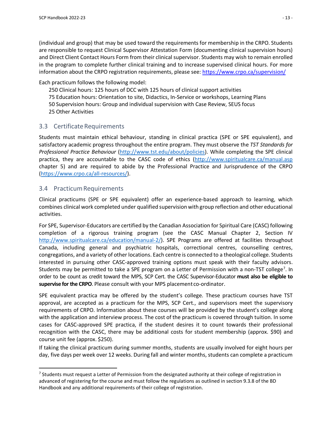(individual and group) that may be used toward the requirements for membership in the CRPO. Students are responsible to request Clinical Supervisor Attestation Form (documenting clinical supervision hours) and Direct Client Contact Hours Form from their clinical supervisor. Students may wish to remain enrolled in the program to complete further clinical training and to increase supervised clinical hours. For more information about the CRPO registration requirements, please see: <https://www.crpo.ca/supervision/>

Each practicum follows the following model:

250 Clinical hours: 125 hours of DCC with 125 hours of clinical support activities 75 Education hours: Orientation to site, Didactics, In-Service or workshops, Learning Plans 50 Supervision hours: Group and individual supervision with Case Review, SEUS focus 25 Other Activities

### <span id="page-18-0"></span>3.3 Certificate Requirements

Students must maintain ethical behaviour, standing in clinical practica (SPE or SPE equivalent), and satisfactory academic progress throughout the entire program. They must observe the *TST Standards for Professional Practice Behaviour* [\(http://www.tst.edu/about/policies\)](http://www.tst.edu/about/policies). While completing the SPE clinical practica, they are accountable to the CASC code of ethics [\(http://www.spiritualcare.ca/manual.asp](http://www.spiritualcare.ca/manual.asp) chapter 5) and are required to abide by the Professional Practice and Jurisprudence of the CRPO [\(https://www.crpo.ca/all-resources/\)](https://www.crpo.ca/all-resources/).

### <span id="page-18-1"></span>3.4 Practicum Requirements

Clinical practicums (SPE or SPE equivalent) offer an experience-based approach to learning, which combines clinical work completed under qualified supervision with group reflection and other educational activities.

For SPE, Supervisor-Educators are certified by the Canadian Association for Spiritual Care (CASC) following completion of a rigorous training program (see the CASC Manual Chapter 2, Section IV [http://www.spiritualcare.ca/education/manual-2/\)](http://www.spiritualcare.ca/education/manual-2/). SPE Programs are offered at facilities throughout Canada, including general and psychiatric hospitals, correctional centres, counselling centres, congregations, and a variety of other locations. Each centre is connected to a theological college. Students interested in pursuing other CASC-approved training options must speak with their faculty advisors. Students may be permitted to take a SPE program on a Letter of Permission with a non-TST college<sup>[7](#page-18-2)</sup>. In order to be count as credit toward the MPS, SCP Cert. the CASC Supervisor-Educator **must also be eligible to supervise for the CRPO**. Please consult with your MPS placement co-ordinator.

SPE equivalent practica may be offered by the student's college. These practicum courses have TST approval, are accepted as a practicum for the MPS, SCP Cert., and supervisors meet the supervisory requirements of CRPO. Information about these courses will be provided by the student's college along with the application and interview process. The cost of the practicum is covered through tuition. In some cases for CASC-approved SPE practica, if the student desires it to count towards their professional recognition with the CASC, there may be additional costs for student membership (approx. \$90) and course unit fee (approx. \$250).

If taking the clinical practicum during summer months, students are usually involved for eight hours per day, five days per week over 12 weeks. During fall and winter months, students can complete a practicum

<span id="page-18-2"></span> $7$  Students must request a Letter of Permission from the designated authority at their college of registration in advanced of registering for the course and must follow the regulations as outlined in section 9.3.8 of the BD Handbook and any additional requirements of their college of registration.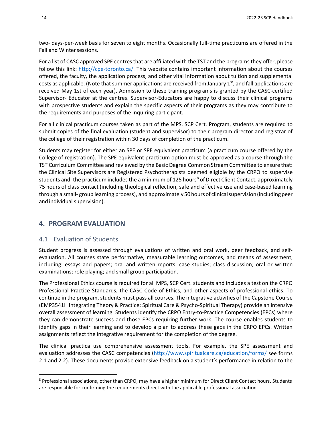two- days-per-week basis for seven to eight months. Occasionally full-time practicums are offered in the Fall and Winter sessions.

For a list of CASC approved SPE centres that are affiliated with the TST and the programs they offer, please follow this link: [http://cpe-toronto.ca/.](http://cpe-toronto.ca/) This website contains important information about the courses offered, the faculty, the application process, and other vital information about tuition and supplemental costs as applicable. (Note that summer applications are received from January  $1<sup>st</sup>$ , and fall applications are received May 1st of each year). Admission to these training programs is granted by the CASC-certified Supervisor- Educator at the centres. Supervisor-Educators are happy to discuss their clinical programs with prospective students and explain the specific aspects of their programs as they may contribute to the requirements and purposes of the inquiring participant.

For all clinical practicum courses taken as part of the MPS, SCP Cert. Program, students are required to submit copies of the final evaluation (student and supervisor) to their program director and registrar of the college of their registration within 30 days of completion of the practicum.

Students may register for either an SPE or SPE equivalent practicum (a practicum course offered by the College of registration). The SPE equivalent practicum option must be approved as a course through the TST Curriculum Committee and reviewed by the Basic Degree Common Stream Committee to ensure that: the Clinical Site Supervisors are Registered Psychotherapists deemed eligible by the CRPO to supervise students and; the practicum includes the a minimum of 125 hours<sup>[8](#page-19-2)</sup> of Direct Client Contact, approximately 75 hours of class contact (including theological reflection, safe and effective use and case-based learning through a small- group learning process), and approximately 50 hours of clinical supervision (including peer and individual supervision).

### <span id="page-19-1"></span><span id="page-19-0"></span>**4. PROGRAM EVALUATION**

### 4.1 Evaluation of Students

Student progress is assessed through evaluations of written and oral work, peer feedback, and selfevaluation. All courses state performative, measurable learning outcomes, and means of assessment, including: essays and papers; oral and written reports; case studies; class discussion; oral or written examinations; role playing; and small group participation.

The Professional Ethics course is required for all MPS, SCP Cert. students and includes a test on the CRPO Professional Practice Standards, the CASC Code of Ethics, and other aspects of professional ethics. To continue in the program, students must pass all courses. The integrative activities of the Capstone Course (EMP3541H Integrating Theory & Practice: Spiritual Care & Psycho-Spiritual Therapy) provide an intensive overall assessment of learning. Students identify the CRPO Entry-to-Practice Competencies (EPCs) where they can demonstrate success and those EPCs requiring further work. The course enables students to identify gaps in their learning and to develop a plan to address these gaps in the CRPO EPCs. Written assignments reflect the integrative requirement for the completion of the degree.

The clinical practica use comprehensive assessment tools. For example, the SPE assessment and evaluation addresses the CASC competencies [\(http://www.spiritualcare.ca/education/forms/](http://www.spiritualcare.ca/education/forms/) see forms 2.1 and 2.2). These documents provide extensive feedback on a student's performance in relation to the

<span id="page-19-2"></span><sup>8</sup> Professional associations, other than CRPO, may have a higher minimum for Direct Client Contact hours. Students are responsible for confirming the requirements direct with the applicable professional association.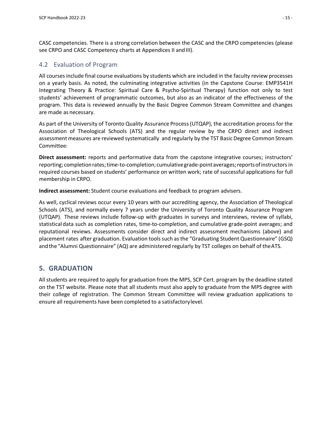CASC competencies. There is a strong correlation between the CASC and the CRPO competencies (please see CRPO and CASC Competency charts at Appendices II and III).

### <span id="page-20-0"></span>4.2 Evaluation of Program

All coursesinclude final course evaluations by students which are included in the faculty review processes on a yearly basis. As noted, the culminating integrative activities (in the Capstone Course: EMP3541H Integrating Theory & Practice: Spiritual Care & Psycho-Spiritual Therapy) function not only to test students' achievement of programmatic outcomes, but also as an indicator of the effectiveness of the program. This data is reviewed annually by the Basic Degree Common Stream Committee and changes are made as necessary.

As part of the University of Toronto Quality Assurance Process(UTQAP), the accreditation process for the Association of Theological Schools (ATS) and the regular review by the CRPO direct and indirect assessment measures are reviewed systematically and regularly by the TST Basic Degree Common Stream Committee:

**Direct assessment:** reports and performative data from the capstone integrative courses; instructors' reporting; completionrates;time-to-completion; cumulativegrade-pointaverages;reportsofinstructors in required courses based on students' performance on written work; rate of successful applications for full membership in CRPO.

**Indirect assessment:** Student course evaluations and feedback to program advisers.

As well, cyclical reviews occur every 10 years with our accrediting agency, the Association of Theological Schools (ATS), and normally every 7 years under the University of Toronto Quality Assurance Program (UTQAP). These reviews include follow-up with graduates in surveys and interviews, review of syllabi, statistical data such as completion rates, time-to-completion, and cumulative grade-point averages; and reputational reviews. Assessments consider direct and indirect assessment mechanisms (above) and placement rates after graduation. Evaluation toolssuch asthe "Graduating Student Questionnaire" (GSQ) andthe"Alumni Questionnaire" (AQ) are administered regularly by TST colleges on behalf of theATS.

### <span id="page-20-1"></span>**5. GRADUATION**

All students are required to apply for graduation from the MPS, SCP Cert. program by the deadline stated on the TST website. Please note that all students must also apply to graduate from the MPS degree with their college of registration. The Common Stream Committee will review graduation applications to ensure all requirements have been completed to a satisfactorylevel.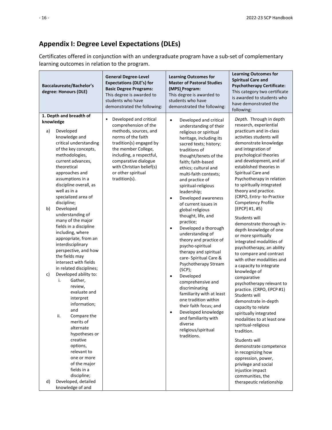## <span id="page-21-0"></span>**Appendix I: Degree Level Expectations (DLEs)**

Certificates offered in conjunction with an undergraduate program have a sub-set of complementary learning outcomes in relation to the program.

| Baccalaureate/Bachelor's<br>degree: Honours (DLE)                                                                                                                                                                                                                                                                                                                                                                                                                                                                                                                                                                                                                                                                                                                                                                                                                            | <b>General Degree-Level</b><br><b>Expectations (DLE's) for</b><br><b>Basic Degree Programs:</b><br>This degree is awarded to<br>students who have<br>demonstrated the following:                                                                                            | <b>Learning Outcomes for</b><br><b>Master of Pastoral Studies</b><br>(MPS) Program:<br>This degree is awarded to<br>students who have<br>demonstrated the following:                                                                                                                                                                                                                                                                                                                                                                                                                                                                                                                                                                                                                                                                                                                  | <b>Learning Outcomes for</b><br><b>Spiritual Care and</b><br><b>Psychotherapy Certificate:</b><br>This category two certificate<br>is awarded to students who<br>have demonstrated the<br>following:                                                                                                                                                                                                                                                                                                                                                                                                                                                                                                                                                                                                                                                                                                                                                                                                                                                                                                 |
|------------------------------------------------------------------------------------------------------------------------------------------------------------------------------------------------------------------------------------------------------------------------------------------------------------------------------------------------------------------------------------------------------------------------------------------------------------------------------------------------------------------------------------------------------------------------------------------------------------------------------------------------------------------------------------------------------------------------------------------------------------------------------------------------------------------------------------------------------------------------------|-----------------------------------------------------------------------------------------------------------------------------------------------------------------------------------------------------------------------------------------------------------------------------|---------------------------------------------------------------------------------------------------------------------------------------------------------------------------------------------------------------------------------------------------------------------------------------------------------------------------------------------------------------------------------------------------------------------------------------------------------------------------------------------------------------------------------------------------------------------------------------------------------------------------------------------------------------------------------------------------------------------------------------------------------------------------------------------------------------------------------------------------------------------------------------|------------------------------------------------------------------------------------------------------------------------------------------------------------------------------------------------------------------------------------------------------------------------------------------------------------------------------------------------------------------------------------------------------------------------------------------------------------------------------------------------------------------------------------------------------------------------------------------------------------------------------------------------------------------------------------------------------------------------------------------------------------------------------------------------------------------------------------------------------------------------------------------------------------------------------------------------------------------------------------------------------------------------------------------------------------------------------------------------------|
| 1. Depth and breadth of<br>knowledge<br>a)<br>Developed<br>knowledge and<br>critical understanding<br>of the key concepts,<br>methodologies,<br>current advances,<br>theoretical<br>approaches and<br>assumptions in a<br>discipline overall, as<br>well as in a<br>specialized area of<br>discipline;<br>Developed<br>b)<br>understanding of<br>many of the major<br>fields in a discipline<br>including, where<br>appropriate, from an<br>interdisciplinary<br>perspective, and how<br>the fields may<br>intersect with fields<br>in related disciplines;<br>Developed ability to:<br>c)<br>Gather,<br>i.<br>review,<br>evaluate and<br>interpret<br>information;<br>and<br>ii.<br>Compare the<br>merits of<br>alternate<br>hypotheses or<br>creative<br>options,<br>relevant to<br>one or more<br>of the major<br>fields in a<br>discipline;<br>Developed, detailed<br>d) | Developed and critical<br>٠<br>comprehension of the<br>methods, sources, and<br>norms of the faith<br>tradition(s) engaged by<br>the member College,<br>including, a respectful,<br>comparative dialogue<br>with Christian belief(s)<br>or other spiritual<br>tradition(s). | Developed and critical<br>$\bullet$<br>understanding of their<br>religious or spiritual<br>heritage, including its<br>sacred texts; history;<br>traditions of<br>thought/tenets of the<br>faith; faith-based<br>ethics; cultural and<br>multi-faith contexts;<br>and practice of<br>spiritual-religious<br>leadership;<br>Developed awareness<br>$\bullet$<br>of current issues in<br>global religious<br>thought, life, and<br>practice;<br>Developed a thorough<br>$\bullet$<br>understanding of<br>theory and practice of<br>psycho-spiritual<br>therapy and spiritual<br>care- Spiritual Care &<br>Psychotherapy Stream<br>(SCP);<br>Developed<br>$\bullet$<br>comprehensive and<br>discriminating<br>familiarity with at least<br>one tradition within<br>their faith focus; and<br>Developed knowledge<br>and familiarity with<br>diverse<br>religious/spiritual<br>traditions. | Depth. Through in depth<br>research, experiential<br>practicum and in-class<br>activities students will<br>demonstrate knowledge<br>and integration of<br>psychological theories<br>and development, and of<br>established theories in<br>Spiritual Care and<br>Psychotherapy in relation<br>to spiritually integrated<br>theory and practice.<br>(CRPO, Entry-to-Practice<br>Competency Profile<br>[EPCP] #1, #5)<br>Students will<br>demonstrate thorough in-<br>depth knowledge of one<br>or more spiritually<br>integrated modalities of<br>psychotherapy, an ability<br>to compare and contrast<br>with other modalities and<br>a capacity to integrate<br>knowledge of<br>comparative<br>psychotherapy relevant to<br>practice. (CRPO, EPCP #1)<br>Students will<br>demonstrate in-depth<br>capacity to relate<br>spiritually integrated<br>modalities to at least one<br>spiritual-religious<br>tradition.<br>Students will<br>demonstrate competence<br>in recognizing how<br>oppression, power,<br>privilege and social<br>injustice impact<br>communities, the<br>therapeutic relationship |
| knowledge of and                                                                                                                                                                                                                                                                                                                                                                                                                                                                                                                                                                                                                                                                                                                                                                                                                                                             |                                                                                                                                                                                                                                                                             |                                                                                                                                                                                                                                                                                                                                                                                                                                                                                                                                                                                                                                                                                                                                                                                                                                                                                       |                                                                                                                                                                                                                                                                                                                                                                                                                                                                                                                                                                                                                                                                                                                                                                                                                                                                                                                                                                                                                                                                                                      |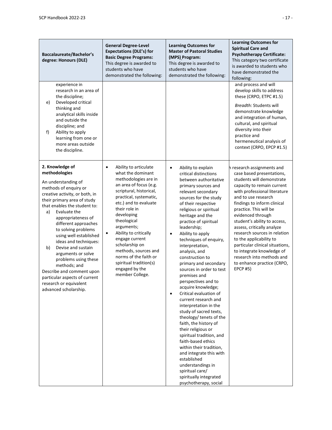| <b>Baccalaureate/Bachelor's</b><br>degree: Honours (DLE)                                                                                                                                                                                                                                                                                                                                                                                                                                                                                   | <b>General Degree-Level</b><br><b>Expectations (DLE's) for</b><br><b>Basic Degree Programs:</b><br>This degree is awarded to<br>students who have<br>demonstrated the following:                                                                                                                                                                                                                                                 | <b>Learning Outcomes for</b><br><b>Master of Pastoral Studies</b><br>(MPS) Program:<br>This degree is awarded to<br>students who have<br>demonstrated the following:                                                                                                                                                                                                                                                                                                                                                                                                                                                                                                                                                                                                                                                                                                                                                   | <b>Learning Outcomes for</b><br><b>Spiritual Care and</b><br><b>Psychotherapy Certificate:</b><br>This category two certificate<br>is awarded to students who<br>have demonstrated the<br>following:                                                                                                                                                                                                                                                                                                                           |
|--------------------------------------------------------------------------------------------------------------------------------------------------------------------------------------------------------------------------------------------------------------------------------------------------------------------------------------------------------------------------------------------------------------------------------------------------------------------------------------------------------------------------------------------|----------------------------------------------------------------------------------------------------------------------------------------------------------------------------------------------------------------------------------------------------------------------------------------------------------------------------------------------------------------------------------------------------------------------------------|------------------------------------------------------------------------------------------------------------------------------------------------------------------------------------------------------------------------------------------------------------------------------------------------------------------------------------------------------------------------------------------------------------------------------------------------------------------------------------------------------------------------------------------------------------------------------------------------------------------------------------------------------------------------------------------------------------------------------------------------------------------------------------------------------------------------------------------------------------------------------------------------------------------------|--------------------------------------------------------------------------------------------------------------------------------------------------------------------------------------------------------------------------------------------------------------------------------------------------------------------------------------------------------------------------------------------------------------------------------------------------------------------------------------------------------------------------------|
| experience in<br>research in an area of<br>the discipline;<br>Developed critical<br>e)<br>thinking and<br>analytical skills inside<br>and outside the<br>discipline; and<br>Ability to apply<br>f)<br>learning from one or<br>more areas outside<br>the discipline.                                                                                                                                                                                                                                                                        |                                                                                                                                                                                                                                                                                                                                                                                                                                  |                                                                                                                                                                                                                                                                                                                                                                                                                                                                                                                                                                                                                                                                                                                                                                                                                                                                                                                        | and process and will<br>develop skills to address<br>these (CRPO, ETPC #1.5)<br>Breadth: Students will<br>demonstrate knowledge<br>and integration of human,<br>cultural, and spiritual<br>diversity into their<br>practice and<br>hermeneutical analysis of<br>context (CRPO, EPCP #1.5)                                                                                                                                                                                                                                      |
| 2. Knowledge of<br>methodologies<br>An understanding of<br>methods of enquiry or<br>creative activity, or both, in<br>their primary area of study<br>that enables the student to:<br>a)<br>Evaluate the<br>appropriateness of<br>different approaches<br>to solving problems<br>using well established<br>ideas and techniques:<br>Devise and sustain<br>b)<br>arguments or solve<br>problems using these<br>methods; and<br>Describe and comment upon<br>particular aspects of current<br>research or equivalent<br>advanced scholarship. | Ability to articulate<br>$\bullet$<br>what the dominant<br>methodologies are in<br>an area of focus (e.g.<br>scriptural, historical,<br>practical, systematic,<br>etc.) and to evaluate<br>their role in<br>developing<br>theological<br>arguments;<br>Ability to critically<br>engage current<br>scholarship on<br>methods, sources and<br>norms of the faith or<br>spiritual tradition(s)<br>engaged by the<br>member College. | Ability to explain<br>$\bullet$<br>critical distinctions<br>between authoritative<br>primary sources and<br>relevant secondary<br>sources for the study<br>of their respective<br>religious or spiritual<br>heritage and the<br>practice of spiritual<br>leadership;<br>Ability to apply<br>$\bullet$<br>techniques of enquiry,<br>interpretation,<br>analysis, and<br>construction to<br>primary and secondary<br>sources in order to test<br>premises and<br>perspectives and to<br>acquire knowledge;<br>Critical evaluation of<br>$\bullet$<br>current research and<br>interpretation in the<br>study of sacred texts,<br>theology/ tenets of the<br>faith, the history of<br>their religious or<br>spiritual tradition, and<br>faith-based ethics<br>within their tradition,<br>and integrate this with<br>established<br>understandings in<br>spiritual care/<br>spiritually integrated<br>psychotherapy, social | h research assignments and<br>case based presentations,<br>students will demonstrate<br>capacity to remain current<br>with professional literature<br>and to use research<br>findings to inform clinical<br>practice. This will be<br>evidenced through<br>student's ability to access,<br>assess, critically analyze<br>research sources in relation<br>to the applicability to<br>particular clinical situations,<br>to integrate knowledge of<br>research into methods and<br>to enhance practice (CRPO,<br><b>EPCP #5)</b> |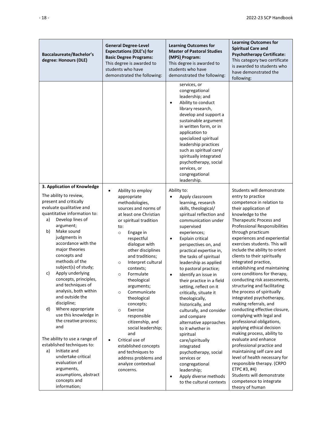| <b>Baccalaureate/Bachelor's</b><br>degree: Honours (DLE)                                                                                                                                                                                                                                                                                                                                                                                                                                                                                         | <b>General Degree-Level</b><br><b>Expectations (DLE's) for</b><br><b>Basic Degree Programs:</b><br>This degree is awarded to<br>students who have<br>demonstrated the following:                                                                                                                                                                                                                                                                                                                  | <b>Learning Outcomes for</b><br><b>Master of Pastoral Studies</b><br>(MPS) Program:<br>This degree is awarded to<br>students who have<br>demonstrated the following:                                                                                                                                                                                                                                                                                                                                                                                                                             | <b>Learning Outcomes for</b><br><b>Spiritual Care and</b><br><b>Psychotherapy Certificate:</b><br>This category two certificate<br>is awarded to students who<br>have demonstrated the<br>following:                                                                                                                                                                                                                                                                                                                                                                                                                                                                                                                                        |
|--------------------------------------------------------------------------------------------------------------------------------------------------------------------------------------------------------------------------------------------------------------------------------------------------------------------------------------------------------------------------------------------------------------------------------------------------------------------------------------------------------------------------------------------------|---------------------------------------------------------------------------------------------------------------------------------------------------------------------------------------------------------------------------------------------------------------------------------------------------------------------------------------------------------------------------------------------------------------------------------------------------------------------------------------------------|--------------------------------------------------------------------------------------------------------------------------------------------------------------------------------------------------------------------------------------------------------------------------------------------------------------------------------------------------------------------------------------------------------------------------------------------------------------------------------------------------------------------------------------------------------------------------------------------------|---------------------------------------------------------------------------------------------------------------------------------------------------------------------------------------------------------------------------------------------------------------------------------------------------------------------------------------------------------------------------------------------------------------------------------------------------------------------------------------------------------------------------------------------------------------------------------------------------------------------------------------------------------------------------------------------------------------------------------------------|
|                                                                                                                                                                                                                                                                                                                                                                                                                                                                                                                                                  |                                                                                                                                                                                                                                                                                                                                                                                                                                                                                                   | services, or<br>congregational<br>leadership; and<br>Ability to conduct<br>$\bullet$<br>library research,<br>develop and support a<br>sustainable argument<br>in written form, or in<br>application to<br>specialized spiritual<br>leadership practices<br>such as spiritual care/<br>spiritually integrated<br>psychotherapy, social<br>services, or<br>congregational<br>leadership.                                                                                                                                                                                                           |                                                                                                                                                                                                                                                                                                                                                                                                                                                                                                                                                                                                                                                                                                                                             |
| 3. Application of Knowledge<br>The ability to review,<br>present and critically<br>evaluate qualitative and<br>quantitative information to:<br>Develop lines of<br>a)<br>argument;<br>b)<br>Make sound<br>judgments in<br>accordance with the<br>major theories<br>concepts and<br>methods of the<br>subject(s) of study;<br>Apply underlying<br>c)<br>concepts, principles,<br>and techniques of<br>analysis, both within<br>and outside the<br>discipline;<br>d)<br>Where appropriate<br>use this knowledge in<br>the creative process;<br>and | Ability to employ<br>$\bullet$<br>appropriate<br>methodologies,<br>sources and norms of<br>at least one Christian<br>or spiritual tradition<br>to:<br>Engage in<br>$\circ$<br>respectful<br>dialogue with<br>other disciplines<br>and traditions;<br>Interpret cultural<br>$\circ$<br>contexts;<br>Formulate<br>$\circ$<br>theological<br>arguments;<br>Communicate<br>$\circ$<br>theological<br>concepts;<br>Exercise<br>$\circ$<br>responsible<br>citizenship, and<br>social leadership;<br>and | Ability to:<br>Apply classroom<br>learning, research<br>skills, theological/<br>spiritual reflection and<br>communication under<br>supervised<br>experiences;<br>Explain critical<br>$\bullet$<br>perspectives on, and<br>practical expertise in,<br>the tasks of spiritual<br>leadership as applied<br>to pastoral practice;<br>Identify an issue in<br>$\bullet$<br>their practice in a field<br>setting, reflect on it<br>critically, situate it<br>theologically,<br>historically, and<br>culturally, and consider<br>and compare<br>alternative approaches<br>to it whether in<br>spiritual | Students will demonstrate<br>entry to practice<br>competence in relation to<br>their application of<br>knowledge to the<br>Therapeutic Process and<br>Professional Responsibilities<br>through practicum<br>experiences and experiential<br>exercises students. This will<br>include the ability to orient<br>clients to their spiritually<br>integrated practice,<br>establishing and maintaining<br>core conditions for therapy,<br>conducting risk assessments,<br>structuring and facilitating<br>the process of spiritually<br>integrated psychotherapy,<br>making referrals, and<br>conducting effective closure,<br>complying with legal and<br>professional obligations,<br>applying ethical decision<br>making process, ability to |
| The ability to use a range of<br>established techniques to:<br>Initiate and<br>a)<br>undertake critical<br>evaluation of<br>arguments,<br>assumptions, abstract<br>concepts and<br>information;                                                                                                                                                                                                                                                                                                                                                  | Critical use of<br>$\bullet$<br>established concepts<br>and techniques to<br>address problems and<br>analyze contextual<br>concerns.                                                                                                                                                                                                                                                                                                                                                              | care/spiritually<br>integrated<br>psychotherapy, social<br>services or<br>congregational<br>leadership;<br>Apply diverse methods<br>$\bullet$<br>to the cultural contexts                                                                                                                                                                                                                                                                                                                                                                                                                        | evaluate and enhance<br>professional practice and<br>maintaining self care and<br>level of health necessary for<br>responsible therapy. (CRPO<br>ETPC #3, #4)<br>Students will demonstrate<br>competence to integrate<br>theory of human                                                                                                                                                                                                                                                                                                                                                                                                                                                                                                    |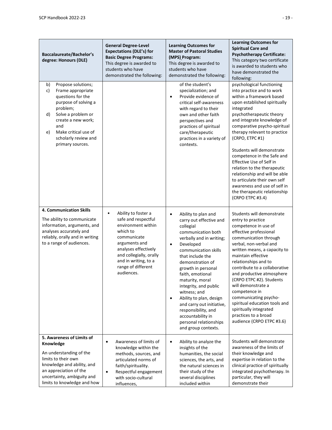| <b>Baccalaureate/Bachelor's</b><br>degree: Honours (DLE)                                                                                                                                                                                        | <b>General Degree-Level</b><br><b>Expectations (DLE's) for</b><br><b>Basic Degree Programs:</b><br>This degree is awarded to<br>students who have<br>demonstrated the following:                                                         | <b>Learning Outcomes for</b><br><b>Master of Pastoral Studies</b><br>(MPS) Program:<br>This degree is awarded to<br>students who have<br>demonstrated the following:                                                                                                                                                                                                                                                                                                                         | <b>Learning Outcomes for</b><br><b>Spiritual Care and</b><br><b>Psychotherapy Certificate:</b><br>This category two certificate<br>is awarded to students who<br>have demonstrated the<br>following:                                                                                                                                                                                                                                                                                                                                                     |
|-------------------------------------------------------------------------------------------------------------------------------------------------------------------------------------------------------------------------------------------------|------------------------------------------------------------------------------------------------------------------------------------------------------------------------------------------------------------------------------------------|----------------------------------------------------------------------------------------------------------------------------------------------------------------------------------------------------------------------------------------------------------------------------------------------------------------------------------------------------------------------------------------------------------------------------------------------------------------------------------------------|----------------------------------------------------------------------------------------------------------------------------------------------------------------------------------------------------------------------------------------------------------------------------------------------------------------------------------------------------------------------------------------------------------------------------------------------------------------------------------------------------------------------------------------------------------|
| Propose solutions;<br>b)<br>c)<br>Frame appropriate<br>questions for the<br>purpose of solving a<br>problem;<br>Solve a problem or<br>d)<br>create a new work;<br>and<br>Make critical use of<br>e)<br>scholarly review and<br>primary sources. |                                                                                                                                                                                                                                          | of the student's<br>specialization; and<br>Provide evidence of<br>$\bullet$<br>critical self-awareness<br>with regard to their<br>own and other faith<br>perspectives and<br>practices of spiritual<br>care/therapeutic<br>practices in a variety of<br>contexts.                                                                                                                                                                                                                            | psychological functioning<br>into practice and to work<br>within a framework based<br>upon established spiritually<br>integrated<br>psychotherapeutic theory<br>and integrate knowledge of<br>comparative psycho-spiritual<br>therapy relevant to practice<br>(CRPO, ETPC #1)<br>Students will demonstrate<br>competence in the Safe and<br>Effective Use of Self in<br>relation to the therapeutic<br>relationship and will be able<br>to articulate their own self<br>awareness and use of self in<br>the therapeutic relationship<br>(CRPO ETPC #3.4) |
| <b>4. Communication Skills</b><br>The ability to communicate<br>information, arguments, and<br>analyses accurately and<br>reliably, orally and in writing<br>to a range of audiences.                                                           | Ability to foster a<br>$\bullet$<br>safe and respectful<br>environment within<br>which to<br>communicate<br>arguments and<br>analyses effectively<br>and collegially, orally<br>and in writing, to a<br>range of different<br>audiences. | Ability to plan and<br>$\bullet$<br>carry out effective and<br>collegial<br>communication both<br>verbally and in writing;<br>Developed<br>$\bullet$<br>communication skills<br>that include the<br>demonstration of<br>growth in personal<br>faith, emotional<br>maturity, moral<br>integrity, and public<br>witness; and<br>Ability to plan, design<br>$\bullet$<br>and carry out initiative,<br>responsibility, and<br>accountability in<br>personal relationships<br>and group contexts. | Students will demonstrate<br>entry to practice<br>competence in use of<br>effective professional<br>communication through<br>verbal, non-verbal and<br>written means, a capacity to<br>maintain effective<br>relationships and to<br>contribute to a collaborative<br>and productive atmosphere<br>(CRPO ETPC #2). Students<br>will demonstrate a<br>competence in<br>communicating psycho-<br>spiritual education tools and<br>spiritually integrated<br>practices to a broad<br>audience (CRPO ETPC #3.6)                                              |
| 5. Awareness of Limits of<br>Knowledge<br>An understanding of the<br>limits to their own<br>knowledge and ability, and<br>an appreciation of the<br>uncertainty, ambiguity and<br>limits to knowledge and how                                   | Awareness of limits of<br>$\bullet$<br>knowledge within the<br>methods, sources, and<br>articulated norms of<br>faith/spirituality.<br>Respectful engagement<br>$\bullet$<br>with socio-cultural<br>influences,                          | Ability to analyze the<br>$\bullet$<br>insights of the<br>humanities, the social<br>sciences, the arts, and<br>the natural sciences in<br>their study of the<br>several disciplines<br>included within                                                                                                                                                                                                                                                                                       | Students will demonstrate<br>awareness of the limits of<br>their knowledge and<br>expertise in relation to the<br>clinical practice of spiritually<br>integrated psychotherapy. In<br>particular, they will<br>demonstrate their                                                                                                                                                                                                                                                                                                                         |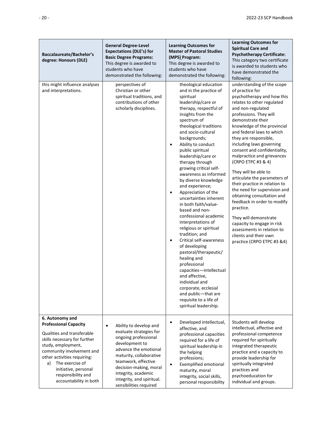| <b>Baccalaureate/Bachelor's</b><br>degree: Honours (DLE)                                                                                                                                                                                                                                         | <b>General Degree-Level</b><br><b>Expectations (DLE's) for</b><br><b>Basic Degree Programs:</b><br>This degree is awarded to<br>students who have<br>demonstrated the following:                                                                                                            | <b>Learning Outcomes for</b><br><b>Master of Pastoral Studies</b><br>(MPS) Program:<br>This degree is awarded to<br>students who have<br>demonstrated the following:                                                                                                                                                                                                                                                                                                                                                                                                                                                                                                                                                                                                                                                                                                                                | <b>Learning Outcomes for</b><br><b>Spiritual Care and</b><br><b>Psychotherapy Certificate:</b><br>This category two certificate<br>is awarded to students who<br>have demonstrated the<br>following:                                                                                                                                                                                                                                                                                                                                                                                                                                                                                                                              |
|--------------------------------------------------------------------------------------------------------------------------------------------------------------------------------------------------------------------------------------------------------------------------------------------------|---------------------------------------------------------------------------------------------------------------------------------------------------------------------------------------------------------------------------------------------------------------------------------------------|-----------------------------------------------------------------------------------------------------------------------------------------------------------------------------------------------------------------------------------------------------------------------------------------------------------------------------------------------------------------------------------------------------------------------------------------------------------------------------------------------------------------------------------------------------------------------------------------------------------------------------------------------------------------------------------------------------------------------------------------------------------------------------------------------------------------------------------------------------------------------------------------------------|-----------------------------------------------------------------------------------------------------------------------------------------------------------------------------------------------------------------------------------------------------------------------------------------------------------------------------------------------------------------------------------------------------------------------------------------------------------------------------------------------------------------------------------------------------------------------------------------------------------------------------------------------------------------------------------------------------------------------------------|
| this might influence analyses<br>and interpretations.                                                                                                                                                                                                                                            | perspectives of<br>Christian or other<br>spiritual traditions, and<br>contributions of other<br>scholarly disciplines.                                                                                                                                                                      | theological education<br>and in the practice of<br>spiritual<br>leadership/care or<br>therapy, respectful of<br>insights from the<br>spectrum of<br>theological traditions<br>and socio-cultural<br>backgrounds;<br>Ability to conduct<br>$\bullet$<br>public spiritual<br>leadership/care or<br>therapy through<br>growing critical self-<br>awareness as informed<br>by diverse knowledge<br>and experience;<br>Appreciation of the<br>$\bullet$<br>uncertainties inherent<br>in both faith/value-<br>based and non-<br>confessional academic<br>interpretations of<br>religious or spiritual<br>tradition; and<br>Critical self-awareness<br>$\bullet$<br>of developing<br>pastoral/therapeutic/<br>healing and<br>professional<br>capacities-intellectual<br>and affective.<br>individual and<br>corporate, ecclesial<br>and public-that are<br>requisite to a life of<br>spiritual leadership. | understanding of the scope<br>of practice for<br>psychotherapy and how this<br>relates to other regulated<br>and non-regulated<br>professions. They will<br>demonstrate their<br>knowledge of the provincial<br>and federal laws to which<br>they are responsible,<br>including laws governing<br>consent and confidentiality,<br>malpractice and grievances<br>(CRPO ETPC #3 & 4)<br>They will be able to<br>articulate the parameters of<br>their practice in relation to<br>the need for supervision and<br>obtaining consultation and<br>feedback in order to modify<br>practice.<br>They will demonstrate<br>capacity to engage in risk<br>assessments in relation to<br>clients and their own<br>practice (CRPO ETPC #3 &4) |
| 6. Autonomy and<br><b>Professional Capacity</b><br>Qualities and transferable<br>skills necessary for further<br>study, employment,<br>community involvement and<br>other activities requiring:<br>The exercise of<br>a)<br>initiative, personal<br>responsibility and<br>accountability in both | Ability to develop and<br>$\bullet$<br>evaluate strategies for<br>ongoing professional<br>development to<br>advance the emotional<br>maturity, collaborative<br>teamwork, effective<br>decision-making, moral<br>integrity, academic<br>integrity, and spiritual.<br>sensibilities required | Developed intellectual,<br>$\bullet$<br>affective, and<br>professional capacities<br>required for a life of<br>spiritual leadership in<br>the helping<br>professions;<br><b>Exemplified emotional</b><br>$\bullet$<br>maturity, moral<br>integrity, social skills,<br>personal responsibility                                                                                                                                                                                                                                                                                                                                                                                                                                                                                                                                                                                                       | Students will develop<br>intellectual, affective and<br>professional competence<br>required for spiritually<br>integrated therapeutic<br>practice and a capacity to<br>provide leadership for<br>spiritually integrated<br>practices and<br>psychoeducation for<br>individual and groups.                                                                                                                                                                                                                                                                                                                                                                                                                                         |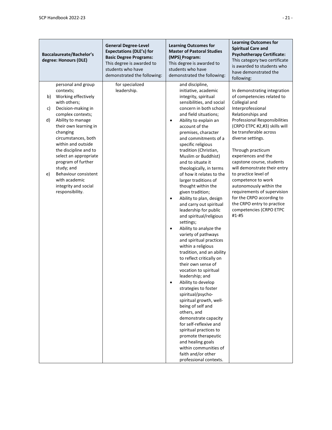| <b>Baccalaureate/Bachelor's</b><br>degree: Honours (DLE) |                                                                                                                                                                                                                                                                                                                                                                                                    | <b>General Degree-Level</b><br><b>Expectations (DLE's) for</b><br><b>Basic Degree Programs:</b><br>This degree is awarded to<br>students who have<br>demonstrated the following: | <b>Learning Outcomes for</b><br><b>Master of Pastoral Studies</b><br>(MPS) Program:<br>This degree is awarded to<br>students who have<br>demonstrated the following:                                                                                                                                                                                                                                                                                                                                                                                                                                                                                                                                                                                                                                                                                                                                                                                                                                                                                                                                                                                                                        | <b>Learning Outcomes for</b><br><b>Spiritual Care and</b><br><b>Psychotherapy Certificate:</b><br>This category two certificate<br>is awarded to students who<br>have demonstrated the<br>following:                                                                                                                                                                                                                                                                                                                                                          |
|----------------------------------------------------------|----------------------------------------------------------------------------------------------------------------------------------------------------------------------------------------------------------------------------------------------------------------------------------------------------------------------------------------------------------------------------------------------------|----------------------------------------------------------------------------------------------------------------------------------------------------------------------------------|---------------------------------------------------------------------------------------------------------------------------------------------------------------------------------------------------------------------------------------------------------------------------------------------------------------------------------------------------------------------------------------------------------------------------------------------------------------------------------------------------------------------------------------------------------------------------------------------------------------------------------------------------------------------------------------------------------------------------------------------------------------------------------------------------------------------------------------------------------------------------------------------------------------------------------------------------------------------------------------------------------------------------------------------------------------------------------------------------------------------------------------------------------------------------------------------|---------------------------------------------------------------------------------------------------------------------------------------------------------------------------------------------------------------------------------------------------------------------------------------------------------------------------------------------------------------------------------------------------------------------------------------------------------------------------------------------------------------------------------------------------------------|
| b)<br>C)<br>d)<br>e)                                     | personal and group<br>contexts;<br>Working effectively<br>with others;<br>Decision-making in<br>complex contexts;<br>Ability to manage<br>their own learning in<br>changing<br>circumstances, both<br>within and outside<br>the discipline and to<br>select an appropriate<br>program of further<br>study; and<br>Behaviour consistent<br>with academic<br>integrity and social<br>responsibility. | for specialized<br>leadership.                                                                                                                                                   | and discipline,<br>initiative, academic<br>integrity, spiritual<br>sensibilities, and social<br>concern in both school<br>and field situations;<br>Ability to explain an<br>$\bullet$<br>account of the<br>premises, character<br>and commitments of a<br>specific religious<br>tradition (Christian,<br>Muslim or Buddhist)<br>and to situate it<br>theologically, in terms<br>of how it relates to the<br>larger traditions of<br>thought within the<br>given tradition;<br>Ability to plan, design<br>$\bullet$<br>and carry out spiritual<br>leadership for public<br>and spiritual/religious<br>settings;<br>Ability to analyze the<br>$\bullet$<br>variety of pathways<br>and spiritual practices<br>within a religious<br>tradition, and an ability<br>to reflect critically on<br>their own sense of<br>vocation to spiritual<br>leadership; and<br>Ability to develop<br>strategies to foster<br>spiritual/psycho-<br>spiritual growth, well-<br>being of self and<br>others, and<br>demonstrate capacity<br>for self-reflexive and<br>spiritual practices to<br>promote therapeutic<br>and healing goals<br>within communities of<br>faith and/or other<br>professional contexts. | In demonstrating integration<br>of competencies related to<br>Collegial and<br>Interprofessional<br>Relationships and<br><b>Professional Responsibilities</b><br>(CRPO ETPC #2,#3) skills will<br>be transferable across<br>diverse settings.<br>Through practicum<br>experiences and the<br>capstone course, students<br>will demonstrate their entry<br>to practice level of<br>competence to work<br>autonomously within the<br>requirements of supervision<br>for the CRPO according to<br>the CRPO entry to practice<br>competencies (CRPO ETPC<br>#1-#5 |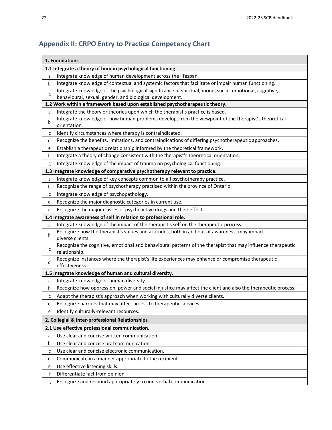# <span id="page-27-0"></span>**Appendix II: CRPO Entry to Practice Competency Chart**

|              | 1. Foundations                                                                                                               |  |
|--------------|------------------------------------------------------------------------------------------------------------------------------|--|
|              | 1.1 Integrate a theory of human psychological functioning.                                                                   |  |
| a            | Integrate knowledge of human development across the lifespan.                                                                |  |
| b            | Integrate knowledge of contextual and systemic factors that facilitate or impair human functioning.                          |  |
|              | Integrate knowledge of the psychological significance of spiritual, moral, social, emotional, cognitive,                     |  |
| $\mathsf{C}$ | behavioural, sexual, gender, and biological development.                                                                     |  |
|              | 1.2 Work within a framework based upon established psychotherapeutic theory.                                                 |  |
| a            | Integrate the theory or theories upon which the therapist's practice is based.                                               |  |
| b            | Integrate knowledge of how human problems develop, from the viewpoint of the therapist's theoretical<br>orientation.         |  |
| c            | Identify circumstances where therapy is contraindicated.                                                                     |  |
| d            | Recognize the benefits, limitations, and contraindications of differing psychotherapeutic approaches.                        |  |
| e            | Establish a therapeutic relationship informed by the theoretical framework.                                                  |  |
| f            | Integrate a theory of change consistent with the therapist's theoretical orientation.                                        |  |
| g            | Integrate knowledge of the impact of trauma on psychological functioning.                                                    |  |
|              | 1.3 Integrate knowledge of comparative psychotherapy relevant to practice.                                                   |  |
| a            | Integrate knowledge of key concepts common to all psychotherapy practice.                                                    |  |
| b            | Recognize the range of psychotherapy practised within the province of Ontario.                                               |  |
| С            | Integrate knowledge of psychopathology.                                                                                      |  |
| d            | Recognize the major diagnostic categories in current use.                                                                    |  |
| e            | Recognize the major classes of psychoactive drugs and their effects.                                                         |  |
|              | 1.4 Integrate awareness of self in relation to professional role.                                                            |  |
| a            | Integrate knowledge of the impact of the therapist's self on the therapeutic process.                                        |  |
| b            | Recognize how the therapist's values and attitudes, both in and out of awareness, may impact<br>diverse clients.             |  |
| с            | Recognize the cognitive, emotional and behavioural patterns of the therapist that may influence therapeutic<br>relationship. |  |
|              | Recognize instances where the therapist's life experiences may enhance or compromise therapeutic                             |  |
| d            | effectiveness.                                                                                                               |  |
|              | 1.5 Integrate knowledge of human and cultural diversity.                                                                     |  |
| a            | Integrate knowledge of human diversity.                                                                                      |  |
| b            | Recognize how oppression, power and social injustice may affect the client and also the therapeutic process.                 |  |
| c            | Adapt the therapist's approach when working with culturally diverse clients.                                                 |  |
| d            | Recognize barriers that may affect access to therapeutic services.                                                           |  |
| e            | Identify culturally-relevant resources.                                                                                      |  |
|              | 2. Collegial & Inter-professional Relationships                                                                              |  |
|              | 2.1 Use effective professional communication.                                                                                |  |
| a            | Use clear and concise written communication.                                                                                 |  |
| b            | Use clear and concise oral communication.                                                                                    |  |
| c            | Use clear and concise electronic communication.                                                                              |  |
| d            | Communicate in a manner appropriate to the recipient.                                                                        |  |
| е            | Use effective listening skills.                                                                                              |  |
| f            | Differentiate fact from opinion.                                                                                             |  |
| g            | Recognize and respond appropriately to non-verbal communication.                                                             |  |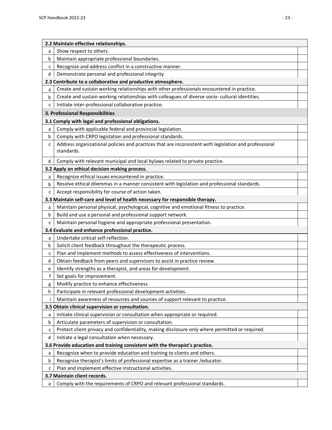|    | 2.2 Maintain effective relationships.                                                                               |  |  |  |  |
|----|---------------------------------------------------------------------------------------------------------------------|--|--|--|--|
| a  | Show respect to others.                                                                                             |  |  |  |  |
| b  | Maintain appropriate professional boundaries.                                                                       |  |  |  |  |
| с  | Recognize and address conflict in a constructive manner.                                                            |  |  |  |  |
| d  | Demonstrate personal and professional integrity.                                                                    |  |  |  |  |
|    | 2.3 Contribute to a collaborative and productive atmosphere.                                                        |  |  |  |  |
| a  | Create and sustain working relationships with other professionals encountered in practice.                          |  |  |  |  |
| b  | Create and sustain working relationships with colleagues of diverse socio-cultural identities.                      |  |  |  |  |
| C  | Initiate inter-professional collaborative practice.                                                                 |  |  |  |  |
|    | 3. Professional Responsibilities                                                                                    |  |  |  |  |
|    | 3.1 Comply with legal and professional obligations.                                                                 |  |  |  |  |
| a  | Comply with applicable federal and provincial legislation.                                                          |  |  |  |  |
| b  | Comply with CRPO legislation and professional standards.                                                            |  |  |  |  |
| c  | Address organizational policies and practices that are inconsistent with legislation and professional<br>standards. |  |  |  |  |
| d  | Comply with relevant municipal and local bylaws related to private practice.                                        |  |  |  |  |
|    | 3.2 Apply an ethical decision making process.                                                                       |  |  |  |  |
| a  | Recognize ethical issues encountered in practice.                                                                   |  |  |  |  |
| b  | Resolve ethical dilemmas in a manner consistent with legislation and professional standards.                        |  |  |  |  |
| C  | Accept responsibility for course of action taken.                                                                   |  |  |  |  |
|    | 3.3 Maintain self-care and level of health necessary for responsible therapy.                                       |  |  |  |  |
| a  | Maintain personal physical, psychological, cognitive and emotional fitness to practice.                             |  |  |  |  |
| b  | Build and use a personal and professional support network.                                                          |  |  |  |  |
| c  | Maintain personal hygiene and appropriate professional presentation.                                                |  |  |  |  |
|    | 3.4 Evaluate and enhance professional practice.                                                                     |  |  |  |  |
| a  | Undertake critical self-reflection.                                                                                 |  |  |  |  |
| b  | Solicit client feedback throughout the therapeutic process.                                                         |  |  |  |  |
| с  | Plan and implement methods to assess effectiveness of interventions.                                                |  |  |  |  |
| d  | Obtain feedback from peers and supervisors to assist in practice review.                                            |  |  |  |  |
| е  | Identify strengths as a therapist, and areas for development.                                                       |  |  |  |  |
| f  | Set goals for improvement.                                                                                          |  |  |  |  |
| g  | Modify practice to enhance effectiveness.                                                                           |  |  |  |  |
| h. | Participate in relevant professional development activities.                                                        |  |  |  |  |
| Ť  | Maintain awareness of resources and sources of support relevant to practice.                                        |  |  |  |  |
|    | 3.5 Obtain clinical supervision or consultation.                                                                    |  |  |  |  |
| a  | Initiate clinical supervision or consultation when appropriate or required.                                         |  |  |  |  |
| b  | Articulate parameters of supervision or consultation.                                                               |  |  |  |  |
| с  | Protect client privacy and confidentiality, making disclosure only where permitted or required.                     |  |  |  |  |
| d  | Initiate a legal consultation when necessary.                                                                       |  |  |  |  |
|    | 3.6 Provide education and training consistent with the therapist's practice.                                        |  |  |  |  |
| a  | Recognize when to provide education and training to clients and others.                                             |  |  |  |  |
| b  | Recognize therapist's limits of professional expertise as a trainer / educator.                                     |  |  |  |  |
| с  | Plan and implement effective instructional activities.                                                              |  |  |  |  |
|    | 3.7 Maintain client records.                                                                                        |  |  |  |  |
| a  | Comply with the requirements of CRPO and relevant professional standards.                                           |  |  |  |  |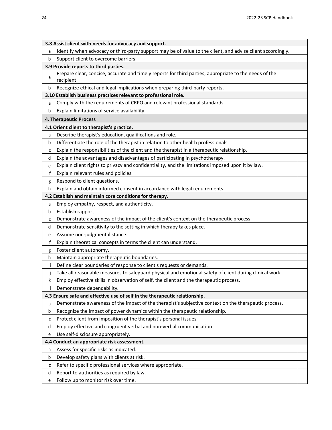**3.8 Assist client with needs for advocacy and support.** a | Identify when advocacy or third-party support may be of value to the client, and advise client accordingly. b | Support client to overcome barriers. **3.9 Provide reports to third parties.** a Prepare clear, concise, accurate and timely reports for third parties, appropriate to the needs of the recipient. b Recognize ethical and legal implications when preparing third-party reports. **3.10 Establish business practices relevant to professional role.** a Comply with the requirements of CRPO and relevant professional standards. b Explain limitations of service availability. **4. Therapeutic Process 4.1 Orient client to therapist's practice.** a Describe therapist's education, qualifications and role. b Differentiate the role of the therapist in relation to other health professionals.  $c \mid$  Explain the responsibilities of the client and the therapist in a therapeutic relationship.  $d \mid$  Explain the advantages and disadvantages of participating in psychotherapy. e | Explain client rights to privacy and confidentiality, and the limitations imposed upon it by law. f Explain relevant rules and policies. g | Respond to client questions. h | Explain and obtain informed consent in accordance with legal requirements. **4.2 Establish and maintain core conditions for therapy.**  $a \mid$  Employ empathy, respect, and authenticity. b Establish rapport.  $c \mid$  Demonstrate awareness of the impact of the client's context on the therapeutic process.  $d \mid$  Demonstrate sensitivity to the setting in which therapy takes place.  $e$  | Assume non-judgmental stance. f Explain theoretical concepts in terms the client can understand. g Foster client autonomy.  $h$  Maintain appropriate therapeutic boundaries. i | Define clear boundaries of response to client's requests or demands. j Take all reasonable measures to safeguard physical and emotional safety of client during clinical work.  $k \mid$  Employ effective skills in observation of self, the client and the therapeutic process. l Demonstrate dependability. **4.3 Ensure safe and effective use of self in the therapeutic relationship.** a Demonstrate awareness of the impact of the therapist's subjective context on the therapeutic process. b Recognize the impact of power dynamics within the therapeutic relationship.  $c$  Protect client from imposition of the therapist's personal issues. d Employ effective and congruent verbal and non-verbal communication.  $e$  Use self-disclosure appropriately. **4.4 Conduct an appropriate risk assessment.** a | Assess for specific risks as indicated. b | Develop safety plans with clients at risk.  $c \mid$  Refer to specific professional services where appropriate.  $d \mid$  Report to authorities as required by law. e | Follow up to monitor risk over time.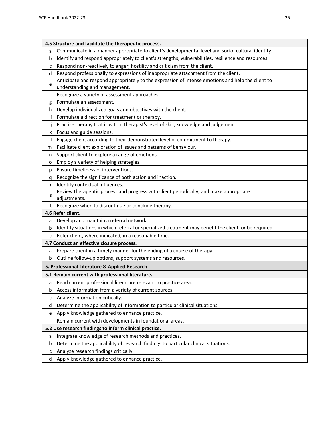|              | 4.5 Structure and facilitate the therapeutic process.                                                                                              |  |
|--------------|----------------------------------------------------------------------------------------------------------------------------------------------------|--|
| a            | Communicate in a manner appropriate to client's developmental level and socio- cultural identity.                                                  |  |
| b            | Identify and respond appropriately to client's strengths, vulnerabilities, resilience and resources.                                               |  |
| c            | Respond non-reactively to anger, hostility and criticism from the client.                                                                          |  |
| d            | Respond professionally to expressions of inappropriate attachment from the client.                                                                 |  |
| e            | Anticipate and respond appropriately to the expression of intense emotions and help the client to                                                  |  |
|              | understanding and management.                                                                                                                      |  |
| f            | Recognize a variety of assessment approaches.                                                                                                      |  |
| g            | Formulate an assessment.                                                                                                                           |  |
| h            | Develop individualized goals and objectives with the client.                                                                                       |  |
| Ť            | Formulate a direction for treatment or therapy.                                                                                                    |  |
|              | Practise therapy that is within therapist's level of skill, knowledge and judgement.                                                               |  |
| k            | Focus and guide sessions.                                                                                                                          |  |
| $\mathbf{I}$ | Engage client according to their demonstrated level of commitment to therapy.                                                                      |  |
| m            | Facilitate client exploration of issues and patterns of behaviour.                                                                                 |  |
| n            | Support client to explore a range of emotions.                                                                                                     |  |
| о            | Employ a variety of helping strategies.                                                                                                            |  |
| р            | Ensure timeliness of interventions.                                                                                                                |  |
| q            | Recognize the significance of both action and inaction.                                                                                            |  |
| $\mathsf{r}$ | Identify contextual influences.                                                                                                                    |  |
| S            | Review therapeutic process and progress with client periodically, and make appropriate                                                             |  |
|              | adjustments.                                                                                                                                       |  |
| t            | Recognize when to discontinue or conclude therapy.<br>4.6 Refer client.                                                                            |  |
|              |                                                                                                                                                    |  |
| a<br>b       | Develop and maintain a referral network.<br>Identify situations in which referral or specialized treatment may benefit the client, or be required. |  |
|              |                                                                                                                                                    |  |
| C            | Refer client, where indicated, in a reasonable time.                                                                                               |  |
|              | 4.7 Conduct an effective closure process.<br>Prepare client in a timely manner for the ending of a course of therapy.                              |  |
| a            |                                                                                                                                                    |  |
| b            | Outline follow-up options, support systems and resources.                                                                                          |  |
|              | 5. Professional Literature & Applied Research                                                                                                      |  |
|              | 5.1 Remain current with professional literature.                                                                                                   |  |
| a            | Read current professional literature relevant to practice area.                                                                                    |  |
| b            | Access information from a variety of current sources.                                                                                              |  |
| c            | Analyze information critically.                                                                                                                    |  |
| d            | Determine the applicability of information to particular clinical situations.                                                                      |  |
| e            | Apply knowledge gathered to enhance practice.                                                                                                      |  |
| f            | Remain current with developments in foundational areas.                                                                                            |  |
|              | 5.2 Use research findings to inform clinical practice.                                                                                             |  |
| a            | Integrate knowledge of research methods and practices.                                                                                             |  |
| b            | Determine the applicability of research findings to particular clinical situations.                                                                |  |
| c            | Analyze research findings critically.                                                                                                              |  |
| d            | Apply knowledge gathered to enhance practice.                                                                                                      |  |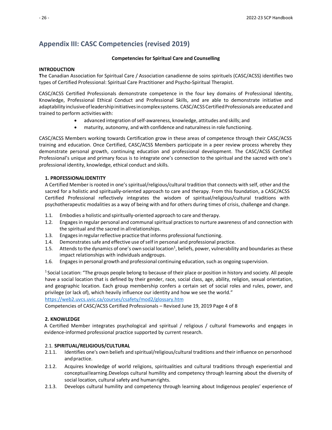### <span id="page-31-0"></span>**Appendix III: CASC Competencies (revised 2019)**

#### **Competencies for Spiritual Care and Counselling**

#### **INTRODUCTION**

**T**he Canadian Association for Spiritual Care / Association canadienne de soins spirituels (CASC/ACSS) identifies two types of Certified Professional: Spiritual Care Practitioner and Psycho-Spiritual Therapist.

CASC/ACSS Certified Professionals demonstrate competence in the four key domains of Professional Identity, Knowledge, Professional Ethical Conduct and Professional Skills, and are able to demonstrate initiative and adaptability inclusive of leadership initiatives in complex systems. CASC/ACSS Certified Professionals are educated and trained to perform activities with:

- advanced integration ofself-awareness, knowledge, attitudes and skills; and
- maturity, autonomy, and with confidence and naturalnessin role functioning.

CASC/ACSS Members working towards Certification grow in these areas of competence through their CASC/ACSS training and education. Once Certified, CASC/ACSS Members participate in a peer review process whereby they demonstrate personal growth, continuing education and professional development. The CASC/ACSS Certified Professional's unique and primary focus is to integrate one's connection to the spiritual and the sacred with one's professional identity, knowledge, ethical conduct and skills.

#### **1. PROFESSIONALIDENTITY**

A Certified Member is rooted in one's spiritual/religious/cultural tradition that connects with self, other and the sacred for a holistic and spiritually-oriented approach to care and therapy. From this foundation, a CASC/ACSS Certified Professional reflectively integrates the wisdom of spiritual/religious/cultural traditions with psychotherapeutic modalities as a way of being with and for others during times of crisis, challenge and change.

- 1.1. Embodies a holistic and spiritually-oriented approach to care and therapy.
- 1.2. Engagesin regular personal and communalspiritual practicesto nurture awareness of and connection with the spiritual and the sacred in allrelationships.
- 1.3. Engages in regular reflective practice that informs professional functioning.
- 1.4. Demonstrates safe and effective use ofself in personal and professional practice.
- 1.5. Attends to the dynamics of one's own social location<sup>1</sup>, beliefs, power, vulnerability and boundaries as these impact relationships with individuals andgroups.
- 1.6. Engages in personal growth and professional continuing education, such as ongoing supervision.

1 Social Location: "The groups people belong to because of their place or position in history and society. All people have a social location that is defined by their gender, race, social class, age, ability, religion, sexual orientation, and geographic location. Each group membership confers a certain set of social roles and rules, power, and privilege (or lack of), which heavily influence our identity and how we see the world."

<https://web2.uvcs.uvic.ca/courses/csafety/mod2/glossary.htm>

Competencies of CASC/ACSS Certified Professionals – Revised June 19, 2019 Page 4 of 8

#### **2. KNOWLEDGE**

A Certified Member integrates psychological and spiritual / religious / cultural frameworks and engages in evidence-informed professional practice supported by current research.

#### 2.1. **SPIRITUAL/RELIGIOUS/CULTURAL**

- 2.1.1. Identifies one's own beliefs and spiritual/religious/cultural traditions and their influence on personhood andpractice.
- 2.1.2. Acquires knowledge of world religions, spiritualities and cultural traditions through experiential and conceptuallearning.Develops cultural humility and competency through learning about the diversity of social location, cultural safety and humanrights.
- 2.1.3. Develops cultural humility and competency through learning about Indigenous peoples' experience of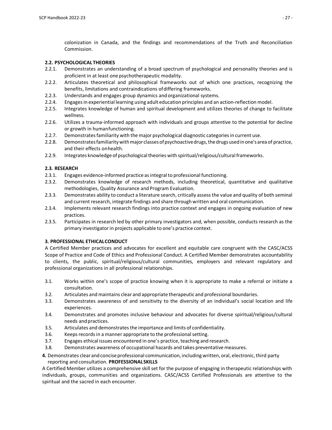colonization in Canada, and the findings and recommendations of the Truth and Reconciliation Commission.

#### **2.2. PSYCHOLOGICAL THEORIES**

- 2.2.1. Demonstrates an understanding of a broad spectrum of psychological and personality theories and is proficient in at least one psychotherapeutic modality.
- 2.2.2. Articulates theoretical and philosophical frameworks out of which one practices, recognizing the benefits, limitations and contraindications ofdiffering frameworks.
- 2.2.3. Understands and engages group dynamics and organizational systems.
- 2.2.4. Engagesin experiential learning using adult education principles and an action-reflection model.
- 2.2.5. Integrates knowledge of human and spiritual development and utilizes theories of change to facilitate wellness.
- 2.2.6. Utilizes a trauma-informed approach with individuals and groups attentive to the potential for decline or growth in humanfunctioning.
- 2.2.7. Demonstrates familiarity with the major psychological diagnostic categories in current use.
- 2.2.8. Demonstrates familiarity with major classes of psychoactive drugs, the drugs used in one's area of practice, and their effects onhealth.
- 2.2.9. Integrates knowledge of psychological theories with spiritual/religious/cultural frameworks.

#### **2.3. RESEARCH**

- 2.3.1. Engages evidence-informed practice as integral to professional functioning.
- 2.3.2. Demonstrates knowledge of research methods, including theoretical, quantitative and qualitative methodologies, Quality Assurance and Program Evaluation.
- 2.3.3. Demonstrates ability to conduct a literature search, critically assess the value and quality of both seminal and current research, integrate findings and share through written and oral communication.
- 2.3.4. Implements relevant research findings into practice context and engages in ongoing evaluation of new practices.
- 2.3.5. Participates in research led by other primary investigators and, when possible, conducts research as the primary investigator in projects applicable to one's practice context.

#### **3. PROFESSIONAL ETHICALCONDUCT**

A Certified Member practices and advocates for excellent and equitable care congruent with the CASC/ACSS Scope of Practice and Code of Ethics and Professional Conduct. A Certified Member demonstrates accountability to clients, the public, spiritual/religious/cultural communities, employers and relevant regulatory and professional organizations in all professional relationships.

- 3.1. Works within one's scope of practice knowing when it is appropriate to make a referral or initiate a consultation.
- 3.2. Articulates andmaintains clear and appropriate therapeutic and professional boundaries.
- 3.3. Demonstrates awareness of and sensitivity to the diversity of an individual's social location and life experiences.
- 3.4. Demonstrates and promotes inclusive behaviour and advocates for diverse spiritual/religious/cultural needs and practices.
- 3.5. Articulates and demonstrates the importance and limits of confidentiality.
- 3.6. Keeps records in a manner appropriate to the professional setting.
- 3.7. Engages ethical issues encountered in one's practice, teaching and research.
- 3.8. Demonstrates awareness of occupational hazards and takes preventative measures.
- **4.** Demonstrates clear and concise professional communication, including written, oral, electronic, third party reporting and consultation. **PROFESSIONALSKILLS**

A Certified Member utilizes a comprehensive skill set for the purpose of engaging in therapeutic relationships with individuals, groups, communities and organizations. CASC/ACSS Certified Professionals are attentive to the spiritual and the sacred in each encounter.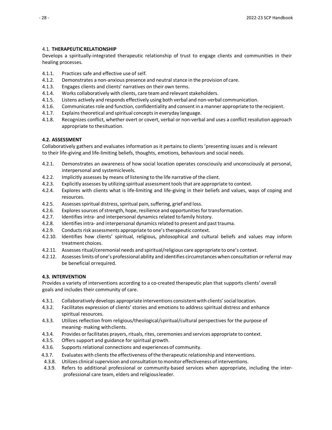#### 4.1. **THERAPEUTICRELATIONSHIP**

Develops a spiritually-integrated therapeutic relationship of trust to engage clients and communities in their healing processes.

- 4.1.1. Practices safe and effective use of self.
- 4.1.2. Demonstrates a non-anxious presence and neutral stance in the provision of care.
- 4.1.3. Engages clients and clients' narratives on their own terms.
- 4.1.4. Works collaboratively with clients, care team and relevant stakeholders.
- 4.1.5. Listens actively and responds effectively using both verbal and non-verbal communication.
- 4.1.6. Communicates role and function, confidentiality and consent in a manner appropriate to the recipient.
- 4.1.7. Explains theoretical and spiritual concepts in everyday language.
- 4.1.8. Recognizes conflict, whether overt or covert, verbal or non-verbal and uses a conflict resolution approach appropriate to thesituation.

#### **4.2. ASSESSMENT**

Collaboratively gathers and evaluates information as it pertains to clients 'presenting issues and is relevant to their life-giving and life-limiting beliefs, thoughts, emotions, behaviours and social needs.

- 4.2.1. Demonstrates an awareness of how social location operates consciously and unconsciously at personal, interpersonal and systemiclevels.
- 4.2.2. Implicitly assesses by means of listening to the life narrative of the client.
- 4.2.3. Explicitly assesses by utilizing spiritual assessmenttoolsthat are appropriate to context.
- 4.2.4. Explores with clients what is life-limiting and life-giving in their beliefs and values, ways of coping and resources.
- 4.2.5. Assesses spiritual distress, spiritual pain, suffering, grief and loss.
- 4.2.6. Explores sources of strength, hope, resilience and opportunities for transformation.
- 4.2.7. Identifies intra- and interpersonal dynamics related to family history.
- 4.2.8. Identifiesintra- and interpersonal dynamicsrelated to present and pasttrauma.
- 4.2.9. Conducts risk assessments appropriate to one's therapeutic context.
- 4.2.10. Identifies how clients' spiritual, religious, philosophical and cultural beliefs and values may inform treatment choices.
- 4.2.11. Assessesritual/ceremonial needs and spiritual/religious care appropriate to one's context.
- 4.2.12. Assesseslimits of one's professional ability and identifies circumstances when consultation orreferral may be beneficial orrequired.

#### **4.3. INTERVENTION**

Provides a variety of interventions according to a co-created therapeutic plan that supports clients' overall goals and includes their community of care.

- 4.3.1. Collaboratively develops appropriate interventions consistent with clients'social location.
- 4.3.2. Facilitates expression of clients' stories and emotions to address spiritual distress and enhance spiritual resources.
- 4.3.3. Utilizes reflection from religious/theological/spiritual/cultural perspectives for the purpose of meaning- making withclients.
- 4.3.4. Provides or facilitates prayers, rituals, rites, ceremonies and services appropriate to context.
- 4.3.5. Offers support and guidance for spiritual growth.
- 4.3.6. Supports relational connections and experiences of community.
- 4.3.7. Evaluates with clients the effectiveness of the therapeutic relationship and interventions.
- 4.3.8. Utilizes clinical supervision and consultation to monitor effectiveness of interventions.
- 4.3.9. Refers to additional professional or community-based services when appropriate, including the interprofessional care team, elders and religiousleader.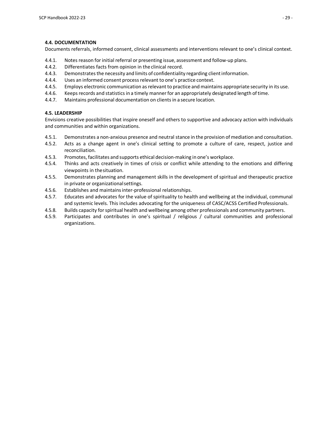#### **4.4. DOCUMENTATION**

Documents referrals, informed consent, clinical assessments and interventions relevant to one's clinical context.

- 4.4.1. Notes reason forinitial referral or presenting issue, assessment and follow-up plans.
- 4.4.2. Differentiates facts from opinion in the clinical record.
- 4.4.3. Demonstratesthe necessity and limits of confidentiality regarding clientinformation.
- 4.4.4. Uses an informed consent processrelevant to one's practice context.
- 4.4.5. Employs electronic communication asrelevant to practice and maintains appropriate security in its use.
- 4.4.6. Keeps records and statistics in a timely manner for an appropriately designated length of time.
- 4.4.7. Maintains professional documentation on clients in a secure location.

#### **4.5. LEADERSHIP**

Envisions creative possibilities that inspire oneself and others to supportive and advocacy action with individuals and communities and within organizations.

- 4.5.1. Demonstrates a non-anxious presence and neutral stance in the provision of mediation and consultation.
- 4.5.2. Acts as a change agent in one's clinical setting to promote a culture of care, respect, justice and reconciliation.
- 4.5.3. Promotes, facilitates and supports ethical decision-making in one's workplace.
- 4.5.4. Thinks and acts creatively in times of crisis or conflict while attending to the emotions and differing viewpoints in thesituation.
- 4.5.5. Demonstrates planning and management skills in the development of spiritual and therapeutic practice in private or organizationalsettings.
- 4.5.6. Establishes and maintainsinter-professional relationships.
- 4.5.7. Educates and advocates for the value of spirituality to health and wellbeing at the individual, communal and systemic levels. This includes advocating for the uniqueness of CASC/ACSS Certified Professionals.
- 4.5.8. Builds capacity forspiritual health and wellbeing among other professionals and community partners.
- 4.5.9. Participates and contributes in one's spiritual / religious / cultural communities and professional organizations.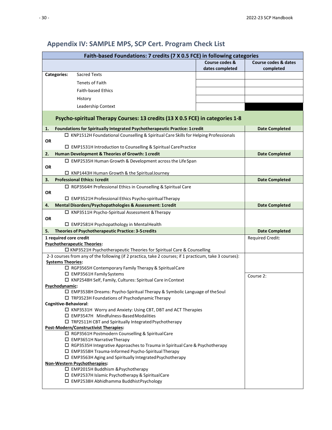#### <span id="page-35-0"></span>**Faith-based Foundations: 7 credits (7 X 0.5 FCE) in following categories Course codes & dates completed Course codes & dates completed Categories:** Sacred Texts Tenets of Faith Faith-based Ethics History Leadership Context **Psycho-spiritual Therapy Courses: 13 credits (13 X 0.5 FCE) in categories 1-8 1. Foundations for Spiritually Integrated Psychotherapeutic Practice: 1credit Date Completed**  $\Box$  KNP1512H Foundational Counselling & Spiritual Care Skills for Helping Professionals **OR** □ EMP1531H Introduction to Counselling & Spiritual CarePractice **2. Human Development & Theories of Growth: 1 credit Date Completed** EMP2535H Human Growth & Development across the LifeSpan **OR**  $\Box$  KNP1443H Human Growth & the Spiritual Journey **3. Professional Ethics: Icredit Date Completed Date Completed Date Completed**  $\Box$  RGP3564H Professional Ethics in Counselling & Spiritual Care **OR** EMP3521H Professional Ethics Psycho-spiritualTherapy **4. Mental Disorders/Psychopathologies & Assessment: 1credit Date Completed** KNP3511H Psycho-Spiritual Assessment &Therapy **OR** EMP2581H Psychopathology in MentalHealth **5. Theories of Psychotherapeutic Practice: 3-5credits Date Completed 1 required core credit Psychotherapeutic Theories:** KNP3521H Psychotherapeutic Theories for Spiritual Care & Counselling Required Credit: 2-3 courses from any of the following (if 2 practica, take 2 courses; if 1 practicum, take 3 courses): **Systems Theories:** □ RGP3565H Contemporary Family Therapy & Spiritual Care EMP3561H FamilySystems KNP2548H Self, Family, Cultures: Spiritual Care inContext **Psychodynamic:** EMP3538H Dreams: Psycho-Spiritual Therapy & Symbolic Language of theSoul  $\square$  TRP3523H Foundations of Psychodynamic Therapy **Cognitive-Behavioral**:  $\Box$  KNP3531H Worry and Anxiety: Using CBT, DBT and ACT Therapies EMP3547H Mindfulness-BasedModalities TRP2511H CBT and Spiritually IntegratedPsychotherapy **Post-Modern/Constructivist Therapies:** □ RGP3561H Postmodern Counselling & SpiritualCare EMP3651H NarrativeTherapy □ RGP3535H Integrative Approaches to Trauma in Spiritual Care & Psychotherapy EMP3558H Trauma-Informed Psycho-Spiritual Therapy EMP3563H Aging and Spiritually IntegratedPsychotherapy **Non-Western Psychotherapies:** EMP2015H Buddhism &Psychotherapy EMP2537H Islamic Psychotherapy & SpiritualCare EMP2538H Abhidhamma BuddhistPsychology Course 2:

### **Appendix IV: SAMPLE MPS, SCP Cert. Program Check List**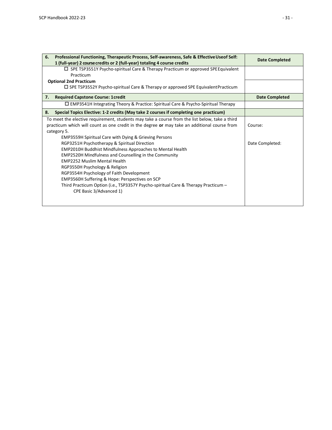| 6.<br>Professional Functioning, Therapeutic Process, Self-awareness, Safe & Effective Useof Self:<br>1 (full-year) 2 course credits or 2 (full-year) totaling 4 course credits | Date Completed        |
|--------------------------------------------------------------------------------------------------------------------------------------------------------------------------------|-----------------------|
| $\Box$ SPE TSP3551Y Psycho-spiritual Care & Therapy Practicum or approved SPE Equivalent<br>Practicum                                                                          |                       |
|                                                                                                                                                                                |                       |
| <b>Optional 2nd Practicum</b>                                                                                                                                                  |                       |
| $\Box$ SPE TSP3552Y Psycho-spiritual Care & Therapy or approved SPE Equivalent Practicum                                                                                       |                       |
| <b>Required Capstone Course: 1 credit</b><br>7.                                                                                                                                | <b>Date Completed</b> |
| $\Box$ EMP3541H Integrating Theory & Practice: Spiritual Care & Psycho-Spiritual Therapy                                                                                       |                       |
| Special Topics Elective: 1-2 credits (May take 2 courses if completing one practicum)<br>8.                                                                                    |                       |
| To meet the elective requirement, students may take a course from the list below, take a third                                                                                 |                       |
| practicum which will count as one credit in the degree or may take an additional course from                                                                                   | Course:               |
| category 5.                                                                                                                                                                    |                       |
| <b>EMP3559H Spiritual Care with Dying &amp; Grieving Persons</b>                                                                                                               |                       |
| RGP3251H Psychotherapy & Spiritual Direction                                                                                                                                   | Date Completed:       |
| <b>EMP2010H Buddhist Mindfulness Approaches to Mental Health</b>                                                                                                               |                       |
| EMP2520H Mindfulness and Counselling in the Community                                                                                                                          |                       |
| <b>EMP2252 Muslim Mental Health</b>                                                                                                                                            |                       |
| RGP3550H Psychology & Religion                                                                                                                                                 |                       |
| RGP3554H Psychology of Faith Development                                                                                                                                       |                       |
| EMP3560H Suffering & Hope: Perspectives on SCP                                                                                                                                 |                       |
| Third Practicum Option (i.e., TSP3357Y Psycho-spiritual Care & Therapy Practicum -                                                                                             |                       |
| CPE Basic 3/Advanced 1)                                                                                                                                                        |                       |
|                                                                                                                                                                                |                       |
|                                                                                                                                                                                |                       |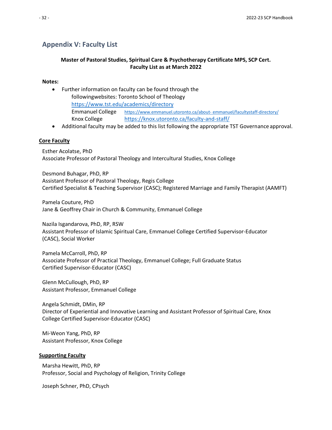### <span id="page-37-0"></span>**Appendix V: Faculty List**

### **Master of Pastoral Studies, Spiritual Care & Psychotherapy Certificate MPS, SCP Cert. Faculty List as at March 2022**

#### **Notes:**

- Further information on faculty can be found through the followingwebsites: Toronto School of Theology <https://www.tst.edu/academics/directory> Emmanuel College [https://www.emmanuel.utoronto.ca/about-](https://www.emmanuel.utoronto.ca/about-emmanuel/facultystaff-directory/) [emmanuel/facultystaff-directory/](https://www.emmanuel.utoronto.ca/about-emmanuel/facultystaff-directory/) Knox College <https://knox.utoronto.ca/faculty-and-staff/>
- Additional faculty may be added to this list following the appropriate TST Governance approval.

#### **Core Faculty**

Esther Acolatse, PhD Associate Professor of Pastoral Theology and Intercultural Studies, Knox College

Desmond Buhagar, PhD, RP Assistant Professor of Pastoral Theology, Regis College Certified Specialist & Teaching Supervisor (CASC); Registered Marriage and Family Therapist (AAMFT)

Pamela Couture, PhD Jane & Geoffrey Chair in Church & Community, Emmanuel College

Nazila Isgandarova, PhD, RP, RSW Assistant Professor of Islamic Spiritual Care, Emmanuel College Certified Supervisor-Educator (CASC), Social Worker

Pamela McCarroll, PhD, RP Associate Professor of Practical Theology, Emmanuel College; Full Graduate Status Certified Supervisor-Educator (CASC)

Glenn McCullough, PhD, RP Assistant Professor, Emmanuel College

Angela Schmidt, DMin, RP Director of Experiential and Innovative Learning and Assistant Professor of Spiritual Care, Knox College Certified Supervisor-Educator (CASC)

Mi-Weon Yang, PhD, RP Assistant Professor, Knox College

#### **Supporting Faculty**

Marsha Hewitt, PhD, RP Professor, Social and Psychology of Religion, Trinity College

Joseph Schner, PhD, CPsych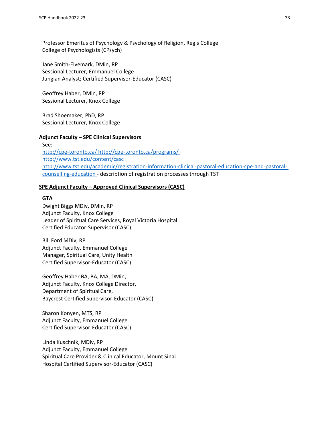Professor Emeritus of Psychology & Psychology of Religion, Regis College College of Psychologists (CPsych)

Jane Smith-Eivemark, DMin, RP Sessional Lecturer, Emmanuel College Jungian Analyst; Certified Supervisor-Educator (CASC)

Geoffrey Haber, DMin, RP Sessional Lecturer, Knox College

Brad Shoemaker, PhD, RP Sessional Lecturer, Knox College

#### **Adjunct Faculty – SPE Clinical Supervisors**

See: <http://cpe-toronto.ca/> <http://cpe-toronto.ca/programs/> <http://www.tst.edu/content/casc> [http://www.tst.edu/academic/registration-information-clinical-pastoral-education-cpe-and-pastoral](http://www.tst.edu/academic/registration-information-clinical-pastoral-education-cpe-and-pastoral-counselling-education)[counselling-education](http://www.tst.edu/academic/registration-information-clinical-pastoral-education-cpe-and-pastoral-counselling-education) - description of registration processes through TST

#### **SPE Adjunct Faculty – Approved Clinical Supervisors (CASC)**

#### **GTA**

Dwight Biggs MDiv, DMin, RP Adjunct Faculty, Knox College Leader of Spiritual Care Services, Royal Victoria Hospital Certified Educator-Supervisor (CASC)

Bill Ford MDiv, RP Adjunct Faculty, Emmanuel College Manager, Spiritual Care, Unity Health Certified Supervisor-Educator (CASC)

Geoffrey Haber BA, BA, MA, DMin, Adjunct Faculty, Knox College Director, Department of Spiritual Care, Baycrest Certified Supervisor-Educator (CASC)

Sharon Konyen, MTS, RP Adjunct Faculty, Emmanuel College Certified Supervisor-Educator (CASC)

Linda Kuschnik, MDiv, RP Adjunct Faculty, Emmanuel College Spiritual Care Provider & Clinical Educator, Mount Sinai Hospital Certified Supervisor-Educator (CASC)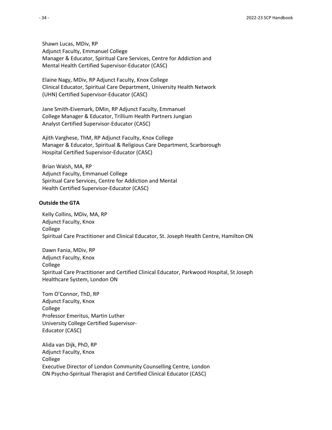Shawn Lucas, MDiv, RP Adjunct Faculty, Emmanuel College Manager & Educator, Spiritual Care Services, Centre for Addiction and Mental Health Certified Supervisor-Educator (CASC)

Elaine Nagy, MDiv, RP Adjunct Faculty, Knox College Clinical Educator, Spiritual Care Department, University Health Network (UHN) Certified Supervisor-Educator (CASC)

Jane Smith-Eivemark, DMin, RP Adjunct Faculty, Emmanuel College Manager & Educator, Trillium Health Partners Jungian Analyst Certified Supervisor-Educator (CASC)

Ajith Varghese, ThM, RP Adjunct Faculty, Knox College Manager & Educator, Spiritual & Religious Care Department, Scarborough Hospital Certified Supervisor-Educator (CASC)

Brian Walsh, MA, RP Adjunct Faculty, Emmanuel College Spiritual Care Services, Centre for Addiction and Mental Health Certified Supervisor-Educator (CASC)

#### **Outside the GTA**

Kelly Collins, MDiv, MA, RP Adjunct Faculty, Knox College Spiritual Care Practitioner and Clinical Educator, St. Joseph Health Centre, Hamilton ON

Dawn Fania, MDiv, RP Adjunct Faculty, Knox College Spiritual Care Practitioner and Certified Clinical Educator, Parkwood Hospital, St Joseph Healthcare System, London ON

Tom O'Connor, ThD, RP Adjunct Faculty, Knox College Professor Emeritus, Martin Luther University College Certified Supervisor-Educator (CASC)

Alida van Dijk, PhD, RP Adjunct Faculty, Knox College Executive Director of London Community Counselling Centre, London ON Psycho-Spiritual Therapist and Certified Clinical Educator (CASC)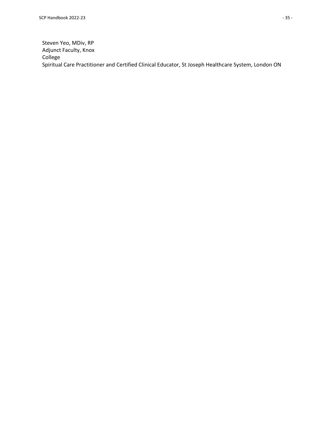Steven Yeo, MDiv, RP Adjunct Faculty, Knox College Spiritual Care Practitioner and Certified Clinical Educator, St Joseph Healthcare System, London ON